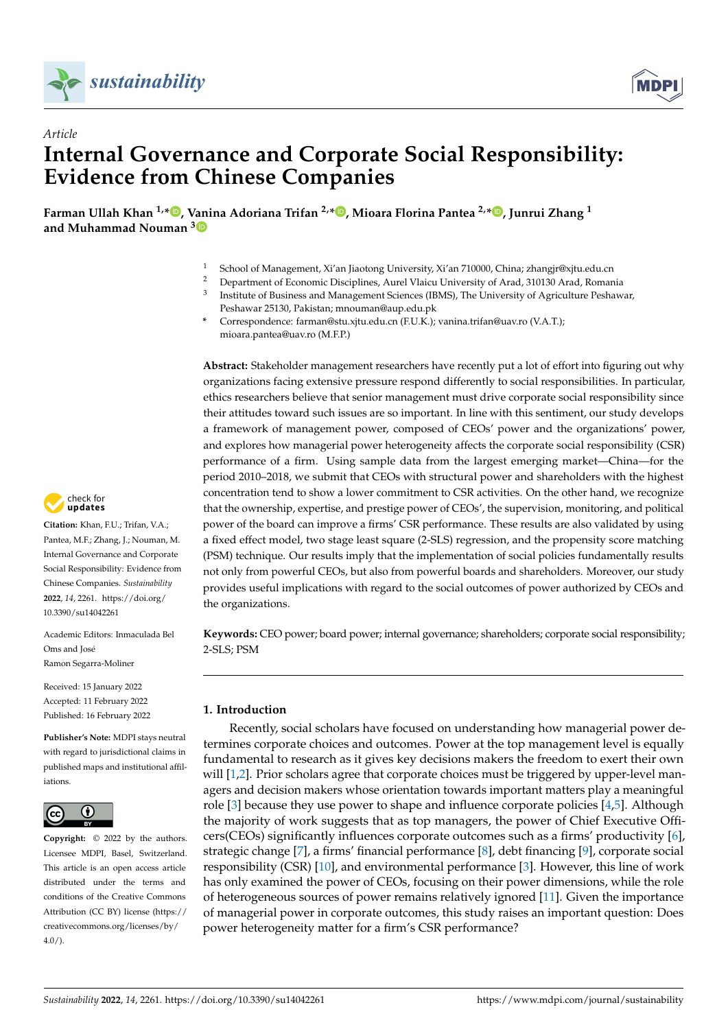

*Article*



# **Internal Governance and Corporate Social Responsibility: Evidence from Chinese Companies**

**Farman Ullah Khan 1,[\\*](https://orcid.org/0000-0002-8789-438X) , Vanina Adoriana Trifan 2,[\\*](https://orcid.org/0000-0001-9835-5982) , Mioara Florina Pantea 2,[\\*](https://orcid.org/0000-0003-2557-285X) , Junrui Zhang <sup>1</sup> and Muhammad Nouman [3](https://orcid.org/0000-0003-4957-3240)**

- <sup>1</sup> School of Management, Xi'an Jiaotong University, Xi'an 710000, China; zhangjr@xjtu.edu.cn
- <sup>2</sup> Department of Economic Disciplines, Aurel Vlaicu University of Arad, 310130 Arad, Romania
- 3 Institute of Business and Management Sciences (IBMS), The University of Agriculture Peshawar, Peshawar 25130, Pakistan; mnouman@aup.edu.pk
- **\*** Correspondence: farman@stu.xjtu.edu.cn (F.U.K.); vanina.trifan@uav.ro (V.A.T.); mioara.pantea@uav.ro (M.F.P.)

**Abstract:** Stakeholder management researchers have recently put a lot of effort into figuring out why organizations facing extensive pressure respond differently to social responsibilities. In particular, ethics researchers believe that senior management must drive corporate social responsibility since their attitudes toward such issues are so important. In line with this sentiment, our study develops a framework of management power, composed of CEOs' power and the organizations' power, and explores how managerial power heterogeneity affects the corporate social responsibility (CSR) performance of a firm. Using sample data from the largest emerging market—China—for the period 2010–2018, we submit that CEOs with structural power and shareholders with the highest concentration tend to show a lower commitment to CSR activities. On the other hand, we recognize that the ownership, expertise, and prestige power of CEOs', the supervision, monitoring, and political power of the board can improve a firms' CSR performance. These results are also validated by using a fixed effect model, two stage least square (2-SLS) regression, and the propensity score matching (PSM) technique. Our results imply that the implementation of social policies fundamentally results not only from powerful CEOs, but also from powerful boards and shareholders. Moreover, our study provides useful implications with regard to the social outcomes of power authorized by CEOs and the organizations.

**Keywords:** CEO power; board power; internal governance; shareholders; corporate social responsibility; 2-SLS; PSM

# **1. Introduction**

Recently, social scholars have focused on understanding how managerial power determines corporate choices and outcomes. Power at the top management level is equally fundamental to research as it gives key decisions makers the freedom to exert their own will [\[1](#page-16-0)[,2\]](#page-16-1). Prior scholars agree that corporate choices must be triggered by upper-level managers and decision makers whose orientation towards important matters play a meaningful role  $[3]$  because they use power to shape and influence corporate policies  $[4,5]$  $[4,5]$ . Although the majority of work suggests that as top managers, the power of Chief Executive Officers(CEOs) significantly influences corporate outcomes such as a firms' productivity [\[6\]](#page-16-5), strategic change [\[7\]](#page-16-6), a firms' financial performance [\[8\]](#page-16-7), debt financing [\[9\]](#page-16-8), corporate social responsibility (CSR) [\[10\]](#page-16-9), and environmental performance [\[3\]](#page-16-2). However, this line of work has only examined the power of CEOs, focusing on their power dimensions, while the role of heterogeneous sources of power remains relatively ignored [\[11\]](#page-16-10). Given the importance of managerial power in corporate outcomes, this study raises an important question: Does power heterogeneity matter for a firm's CSR performance?



**Citation:** Khan, F.U.; Trifan, V.A.; Pantea, M.F.; Zhang, J.; Nouman, M. Internal Governance and Corporate Social Responsibility: Evidence from Chinese Companies. *Sustainability* **2022**, *14*, 2261. [https://doi.org/](https://doi.org/10.3390/su14042261) [10.3390/su14042261](https://doi.org/10.3390/su14042261)

Academic Editors: Inmaculada Bel Oms and José Ramon Segarra-Moliner

Received: 15 January 2022 Accepted: 11 February 2022 Published: 16 February 2022

**Publisher's Note:** MDPI stays neutral with regard to jurisdictional claims in published maps and institutional affiliations.



**Copyright:** © 2022 by the authors. Licensee MDPI, Basel, Switzerland. This article is an open access article distributed under the terms and conditions of the Creative Commons Attribution (CC BY) license [\(https://](https://creativecommons.org/licenses/by/4.0/) [creativecommons.org/licenses/by/](https://creativecommons.org/licenses/by/4.0/)  $4.0/$ ).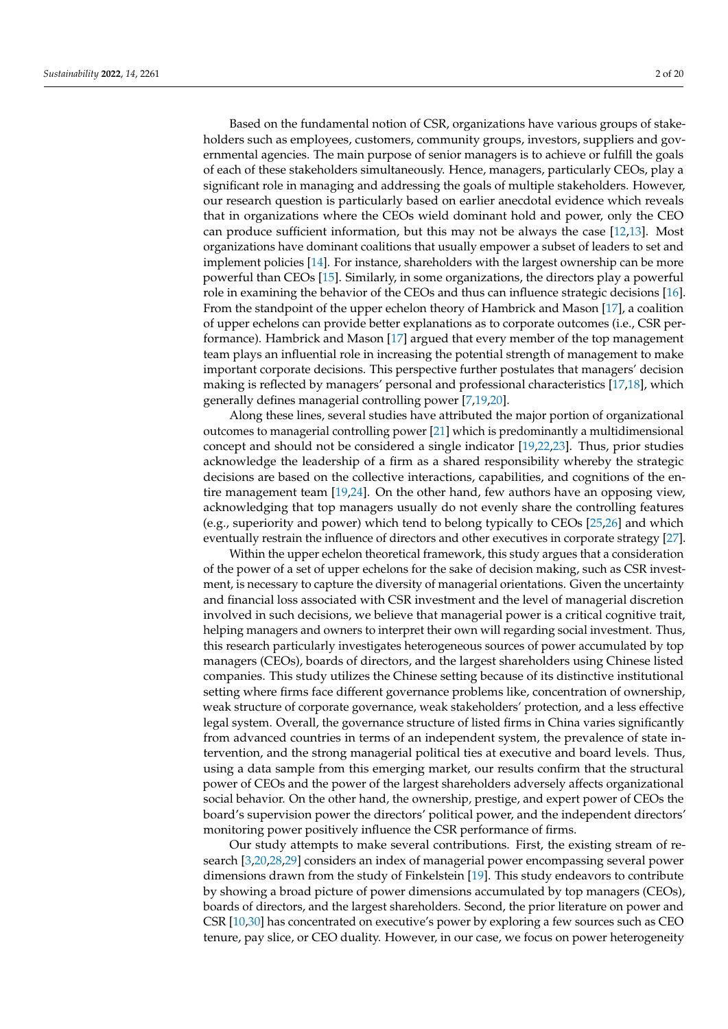Based on the fundamental notion of CSR, organizations have various groups of stakeholders such as employees, customers, community groups, investors, suppliers and governmental agencies. The main purpose of senior managers is to achieve or fulfill the goals of each of these stakeholders simultaneously. Hence, managers, particularly CEOs, play a significant role in managing and addressing the goals of multiple stakeholders. However, our research question is particularly based on earlier anecdotal evidence which reveals that in organizations where the CEOs wield dominant hold and power, only the CEO can produce sufficient information, but this may not be always the case [\[12,](#page-16-11)[13\]](#page-16-12). Most organizations have dominant coalitions that usually empower a subset of leaders to set and implement policies [\[14\]](#page-16-13). For instance, shareholders with the largest ownership can be more powerful than CEOs [\[15\]](#page-16-14). Similarly, in some organizations, the directors play a powerful role in examining the behavior of the CEOs and thus can influence strategic decisions [\[16\]](#page-16-15). From the standpoint of the upper echelon theory of Hambrick and Mason [\[17\]](#page-16-16), a coalition of upper echelons can provide better explanations as to corporate outcomes (i.e., CSR performance). Hambrick and Mason [\[17\]](#page-16-16) argued that every member of the top management team plays an influential role in increasing the potential strength of management to make important corporate decisions. This perspective further postulates that managers' decision making is reflected by managers' personal and professional characteristics [\[17,](#page-16-16)[18\]](#page-16-17), which generally defines managerial controlling power [\[7,](#page-16-6)[19,](#page-16-18)[20\]](#page-16-19).

Along these lines, several studies have attributed the major portion of organizational outcomes to managerial controlling power [\[21\]](#page-16-20) which is predominantly a multidimensional concept and should not be considered a single indicator [\[19](#page-16-18)[,22](#page-16-21)[,23\]](#page-16-22). Thus, prior studies acknowledge the leadership of a firm as a shared responsibility whereby the strategic decisions are based on the collective interactions, capabilities, and cognitions of the entire management team [\[19](#page-16-18)[,24\]](#page-16-23). On the other hand, few authors have an opposing view, acknowledging that top managers usually do not evenly share the controlling features (e.g., superiority and power) which tend to belong typically to CEOs [\[25](#page-16-24)[,26\]](#page-16-25) and which eventually restrain the influence of directors and other executives in corporate strategy [\[27\]](#page-16-26).

Within the upper echelon theoretical framework, this study argues that a consideration of the power of a set of upper echelons for the sake of decision making, such as CSR investment, is necessary to capture the diversity of managerial orientations. Given the uncertainty and financial loss associated with CSR investment and the level of managerial discretion involved in such decisions, we believe that managerial power is a critical cognitive trait, helping managers and owners to interpret their own will regarding social investment. Thus, this research particularly investigates heterogeneous sources of power accumulated by top managers (CEOs), boards of directors, and the largest shareholders using Chinese listed companies. This study utilizes the Chinese setting because of its distinctive institutional setting where firms face different governance problems like, concentration of ownership, weak structure of corporate governance, weak stakeholders' protection, and a less effective legal system. Overall, the governance structure of listed firms in China varies significantly from advanced countries in terms of an independent system, the prevalence of state intervention, and the strong managerial political ties at executive and board levels. Thus, using a data sample from this emerging market, our results confirm that the structural power of CEOs and the power of the largest shareholders adversely affects organizational social behavior. On the other hand, the ownership, prestige, and expert power of CEOs the board's supervision power the directors' political power, and the independent directors' monitoring power positively influence the CSR performance of firms.

Our study attempts to make several contributions. First, the existing stream of research [\[3,](#page-16-2)[20,](#page-16-19)[28,](#page-16-27)[29\]](#page-16-28) considers an index of managerial power encompassing several power dimensions drawn from the study of Finkelstein [\[19\]](#page-16-18). This study endeavors to contribute by showing a broad picture of power dimensions accumulated by top managers (CEOs), boards of directors, and the largest shareholders. Second, the prior literature on power and CSR [\[10,](#page-16-9)[30\]](#page-16-29) has concentrated on executive's power by exploring a few sources such as CEO tenure, pay slice, or CEO duality. However, in our case, we focus on power heterogeneity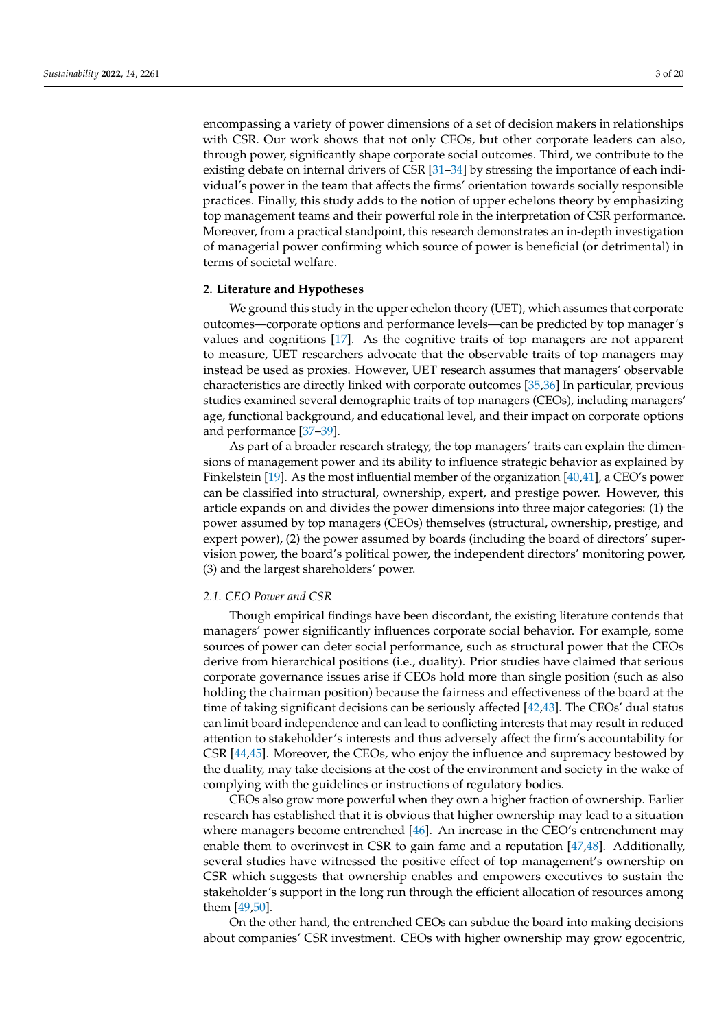encompassing a variety of power dimensions of a set of decision makers in relationships with CSR. Our work shows that not only CEOs, but other corporate leaders can also, through power, significantly shape corporate social outcomes. Third, we contribute to the existing debate on internal drivers of CSR [\[31–](#page-16-30)[34\]](#page-17-0) by stressing the importance of each individual's power in the team that affects the firms' orientation towards socially responsible practices. Finally, this study adds to the notion of upper echelons theory by emphasizing top management teams and their powerful role in the interpretation of CSR performance. Moreover, from a practical standpoint, this research demonstrates an in-depth investigation of managerial power confirming which source of power is beneficial (or detrimental) in terms of societal welfare.

# **2. Literature and Hypotheses**

We ground this study in the upper echelon theory (UET), which assumes that corporate outcomes—corporate options and performance levels—can be predicted by top manager's values and cognitions [\[17\]](#page-16-16). As the cognitive traits of top managers are not apparent to measure, UET researchers advocate that the observable traits of top managers may instead be used as proxies. However, UET research assumes that managers' observable characteristics are directly linked with corporate outcomes [\[35,](#page-17-1)[36\]](#page-17-2) In particular, previous studies examined several demographic traits of top managers (CEOs), including managers' age, functional background, and educational level, and their impact on corporate options and performance [\[37–](#page-17-3)[39\]](#page-17-4).

As part of a broader research strategy, the top managers' traits can explain the dimensions of management power and its ability to influence strategic behavior as explained by Finkelstein [\[19\]](#page-16-18). As the most influential member of the organization [\[40](#page-17-5)[,41\]](#page-17-6), a CEO's power can be classified into structural, ownership, expert, and prestige power. However, this article expands on and divides the power dimensions into three major categories: (1) the power assumed by top managers (CEOs) themselves (structural, ownership, prestige, and expert power), (2) the power assumed by boards (including the board of directors' supervision power, the board's political power, the independent directors' monitoring power, (3) and the largest shareholders' power.

# *2.1. CEO Power and CSR*

Though empirical findings have been discordant, the existing literature contends that managers' power significantly influences corporate social behavior. For example, some sources of power can deter social performance, such as structural power that the CEOs derive from hierarchical positions (i.e., duality). Prior studies have claimed that serious corporate governance issues arise if CEOs hold more than single position (such as also holding the chairman position) because the fairness and effectiveness of the board at the time of taking significant decisions can be seriously affected [\[42](#page-17-7)[,43\]](#page-17-8). The CEOs' dual status can limit board independence and can lead to conflicting interests that may result in reduced attention to stakeholder's interests and thus adversely affect the firm's accountability for CSR [\[44](#page-17-9)[,45\]](#page-17-10). Moreover, the CEOs, who enjoy the influence and supremacy bestowed by the duality, may take decisions at the cost of the environment and society in the wake of complying with the guidelines or instructions of regulatory bodies.

CEOs also grow more powerful when they own a higher fraction of ownership. Earlier research has established that it is obvious that higher ownership may lead to a situation where managers become entrenched [\[46\]](#page-17-11). An increase in the CEO's entrenchment may enable them to overinvest in CSR to gain fame and a reputation [\[47,](#page-17-12)[48\]](#page-17-13). Additionally, several studies have witnessed the positive effect of top management's ownership on CSR which suggests that ownership enables and empowers executives to sustain the stakeholder's support in the long run through the efficient allocation of resources among them [\[49](#page-17-14)[,50\]](#page-17-15).

On the other hand, the entrenched CEOs can subdue the board into making decisions about companies' CSR investment. CEOs with higher ownership may grow egocentric,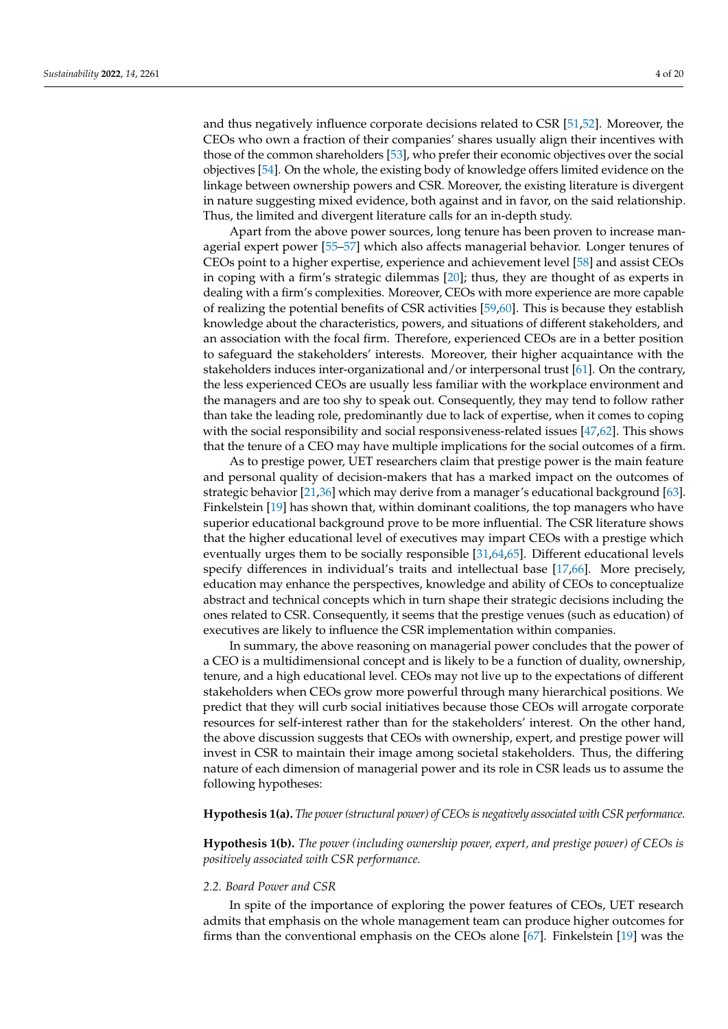and thus negatively influence corporate decisions related to CSR [\[51,](#page-17-16)[52\]](#page-17-17). Moreover, the CEOs who own a fraction of their companies' shares usually align their incentives with those of the common shareholders [\[53\]](#page-17-18), who prefer their economic objectives over the social objectives [\[54\]](#page-17-19). On the whole, the existing body of knowledge offers limited evidence on the linkage between ownership powers and CSR. Moreover, the existing literature is divergent in nature suggesting mixed evidence, both against and in favor, on the said relationship. Thus, the limited and divergent literature calls for an in-depth study.

Apart from the above power sources, long tenure has been proven to increase managerial expert power [\[55](#page-17-20)[–57\]](#page-17-21) which also affects managerial behavior. Longer tenures of CEOs point to a higher expertise, experience and achievement level [\[58\]](#page-17-22) and assist CEOs in coping with a firm's strategic dilemmas [\[20\]](#page-16-19); thus, they are thought of as experts in dealing with a firm's complexities. Moreover, CEOs with more experience are more capable of realizing the potential benefits of CSR activities [\[59,](#page-17-23)[60\]](#page-17-24). This is because they establish knowledge about the characteristics, powers, and situations of different stakeholders, and an association with the focal firm. Therefore, experienced CEOs are in a better position to safeguard the stakeholders' interests. Moreover, their higher acquaintance with the stakeholders induces inter-organizational and/or interpersonal trust [\[61\]](#page-17-25). On the contrary, the less experienced CEOs are usually less familiar with the workplace environment and the managers and are too shy to speak out. Consequently, they may tend to follow rather than take the leading role, predominantly due to lack of expertise, when it comes to coping with the social responsibility and social responsiveness-related issues [\[47,](#page-17-12)[62\]](#page-17-26). This shows that the tenure of a CEO may have multiple implications for the social outcomes of a firm.

As to prestige power, UET researchers claim that prestige power is the main feature and personal quality of decision-makers that has a marked impact on the outcomes of strategic behavior [\[21](#page-16-20)[,36\]](#page-17-2) which may derive from a manager's educational background [\[63\]](#page-17-27). Finkelstein [\[19\]](#page-16-18) has shown that, within dominant coalitions, the top managers who have superior educational background prove to be more influential. The CSR literature shows that the higher educational level of executives may impart CEOs with a prestige which eventually urges them to be socially responsible [\[31](#page-16-30)[,64](#page-17-28)[,65\]](#page-17-29). Different educational levels specify differences in individual's traits and intellectual base [\[17,](#page-16-16)[66\]](#page-18-0). More precisely, education may enhance the perspectives, knowledge and ability of CEOs to conceptualize abstract and technical concepts which in turn shape their strategic decisions including the ones related to CSR. Consequently, it seems that the prestige venues (such as education) of executives are likely to influence the CSR implementation within companies.

In summary, the above reasoning on managerial power concludes that the power of a CEO is a multidimensional concept and is likely to be a function of duality, ownership, tenure, and a high educational level. CEOs may not live up to the expectations of different stakeholders when CEOs grow more powerful through many hierarchical positions. We predict that they will curb social initiatives because those CEOs will arrogate corporate resources for self-interest rather than for the stakeholders' interest. On the other hand, the above discussion suggests that CEOs with ownership, expert, and prestige power will invest in CSR to maintain their image among societal stakeholders. Thus, the differing nature of each dimension of managerial power and its role in CSR leads us to assume the following hypotheses:

#### **Hypothesis 1(a).** *The power (structural power) of CEOs is negatively associated with CSR performance.*

**Hypothesis 1(b).** *The power (including ownership power, expert, and prestige power) of CEOs is positively associated with CSR performance.*

#### *2.2. Board Power and CSR*

In spite of the importance of exploring the power features of CEOs, UET research admits that emphasis on the whole management team can produce higher outcomes for firms than the conventional emphasis on the CEOs alone [\[67\]](#page-18-1). Finkelstein [\[19\]](#page-16-18) was the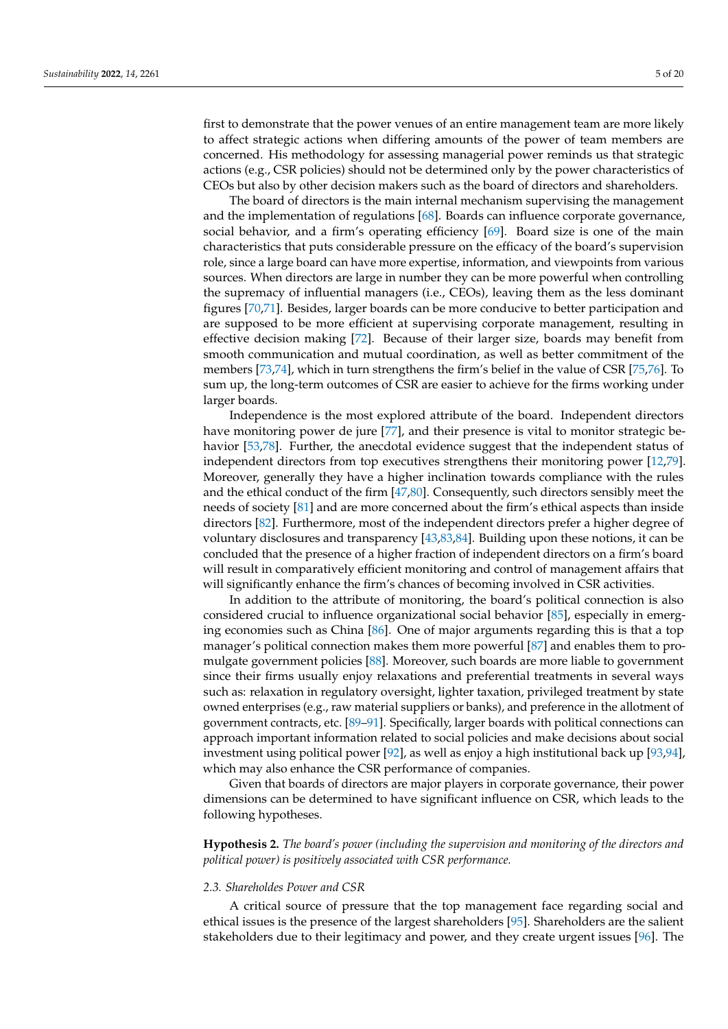first to demonstrate that the power venues of an entire management team are more likely to affect strategic actions when differing amounts of the power of team members are concerned. His methodology for assessing managerial power reminds us that strategic actions (e.g., CSR policies) should not be determined only by the power characteristics of CEOs but also by other decision makers such as the board of directors and shareholders.

The board of directors is the main internal mechanism supervising the management and the implementation of regulations [\[68\]](#page-18-2). Boards can influence corporate governance, social behavior, and a firm's operating efficiency [\[69\]](#page-18-3). Board size is one of the main characteristics that puts considerable pressure on the efficacy of the board's supervision role, since a large board can have more expertise, information, and viewpoints from various sources. When directors are large in number they can be more powerful when controlling the supremacy of influential managers (i.e., CEOs), leaving them as the less dominant figures [\[70,](#page-18-4)[71\]](#page-18-5). Besides, larger boards can be more conducive to better participation and are supposed to be more efficient at supervising corporate management, resulting in effective decision making [\[72\]](#page-18-6). Because of their larger size, boards may benefit from smooth communication and mutual coordination, as well as better commitment of the members [\[73](#page-18-7)[,74\]](#page-18-8), which in turn strengthens the firm's belief in the value of CSR [\[75,](#page-18-9)[76\]](#page-18-10). To sum up, the long-term outcomes of CSR are easier to achieve for the firms working under larger boards.

Independence is the most explored attribute of the board. Independent directors have monitoring power de jure [\[77\]](#page-18-11), and their presence is vital to monitor strategic behavior [\[53](#page-17-18)[,78\]](#page-18-12). Further, the anecdotal evidence suggest that the independent status of independent directors from top executives strengthens their monitoring power [\[12,](#page-16-11)[79\]](#page-18-13). Moreover, generally they have a higher inclination towards compliance with the rules and the ethical conduct of the firm [\[47,](#page-17-12)[80\]](#page-18-14). Consequently, such directors sensibly meet the needs of society [\[81\]](#page-18-15) and are more concerned about the firm's ethical aspects than inside directors [\[82\]](#page-18-16). Furthermore, most of the independent directors prefer a higher degree of voluntary disclosures and transparency [\[43](#page-17-8)[,83,](#page-18-17)[84\]](#page-18-18). Building upon these notions, it can be concluded that the presence of a higher fraction of independent directors on a firm's board will result in comparatively efficient monitoring and control of management affairs that will significantly enhance the firm's chances of becoming involved in CSR activities.

In addition to the attribute of monitoring, the board's political connection is also considered crucial to influence organizational social behavior [\[85\]](#page-18-19), especially in emerging economies such as China [\[86\]](#page-18-20). One of major arguments regarding this is that a top manager's political connection makes them more powerful [\[87\]](#page-18-21) and enables them to promulgate government policies [\[88\]](#page-18-22). Moreover, such boards are more liable to government since their firms usually enjoy relaxations and preferential treatments in several ways such as: relaxation in regulatory oversight, lighter taxation, privileged treatment by state owned enterprises (e.g., raw material suppliers or banks), and preference in the allotment of government contracts, etc. [\[89](#page-18-23)[–91\]](#page-18-24). Specifically, larger boards with political connections can approach important information related to social policies and make decisions about social investment using political power [\[92\]](#page-18-25), as well as enjoy a high institutional back up [\[93](#page-18-26)[,94\]](#page-18-27), which may also enhance the CSR performance of companies.

Given that boards of directors are major players in corporate governance, their power dimensions can be determined to have significant influence on CSR, which leads to the following hypotheses.

**Hypothesis 2.** *The board's power (including the supervision and monitoring of the directors and political power) is positively associated with CSR performance.*

# *2.3. Shareholdes Power and CSR*

A critical source of pressure that the top management face regarding social and ethical issues is the presence of the largest shareholders [\[95\]](#page-18-28). Shareholders are the salient stakeholders due to their legitimacy and power, and they create urgent issues [\[96\]](#page-18-29). The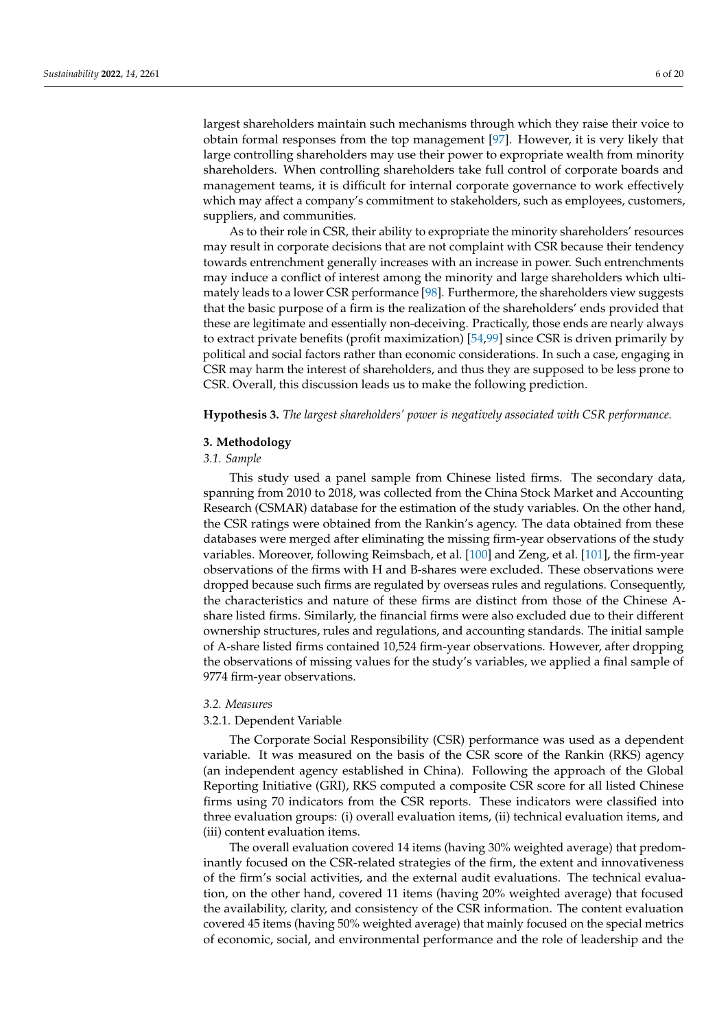largest shareholders maintain such mechanisms through which they raise their voice to obtain formal responses from the top management [\[97\]](#page-18-30). However, it is very likely that large controlling shareholders may use their power to expropriate wealth from minority shareholders. When controlling shareholders take full control of corporate boards and management teams, it is difficult for internal corporate governance to work effectively which may affect a company's commitment to stakeholders, such as employees, customers, suppliers, and communities.

As to their role in CSR, their ability to expropriate the minority shareholders' resources may result in corporate decisions that are not complaint with CSR because their tendency towards entrenchment generally increases with an increase in power. Such entrenchments may induce a conflict of interest among the minority and large shareholders which ultimately leads to a lower CSR performance [\[98\]](#page-18-31). Furthermore, the shareholders view suggests that the basic purpose of a firm is the realization of the shareholders' ends provided that these are legitimate and essentially non-deceiving. Practically, those ends are nearly always to extract private benefits (profit maximization) [\[54](#page-17-19)[,99\]](#page-18-32) since CSR is driven primarily by political and social factors rather than economic considerations. In such a case, engaging in CSR may harm the interest of shareholders, and thus they are supposed to be less prone to CSR. Overall, this discussion leads us to make the following prediction.

**Hypothesis 3.** *The largest shareholders' power is negatively associated with CSR performance.*

## **3. Methodology**

# *3.1. Sample*

This study used a panel sample from Chinese listed firms. The secondary data, spanning from 2010 to 2018, was collected from the China Stock Market and Accounting Research (CSMAR) database for the estimation of the study variables. On the other hand, the CSR ratings were obtained from the Rankin's agency. The data obtained from these databases were merged after eliminating the missing firm-year observations of the study variables. Moreover, following Reimsbach, et al. [\[100\]](#page-19-0) and Zeng, et al. [\[101\]](#page-19-1), the firm-year observations of the firms with H and B-shares were excluded. These observations were dropped because such firms are regulated by overseas rules and regulations. Consequently, the characteristics and nature of these firms are distinct from those of the Chinese Ashare listed firms. Similarly, the financial firms were also excluded due to their different ownership structures, rules and regulations, and accounting standards. The initial sample of A-share listed firms contained 10,524 firm-year observations. However, after dropping the observations of missing values for the study's variables, we applied a final sample of 9774 firm-year observations.

# *3.2. Measures*

# <span id="page-5-0"></span>3.2.1. Dependent Variable

The Corporate Social Responsibility (CSR) performance was used as a dependent variable. It was measured on the basis of the CSR score of the Rankin (RKS) agency (an independent agency established in China). Following the approach of the Global Reporting Initiative (GRI), RKS computed a composite CSR score for all listed Chinese firms using 70 indicators from the CSR reports. These indicators were classified into three evaluation groups: (i) overall evaluation items, (ii) technical evaluation items, and (iii) content evaluation items.

The overall evaluation covered 14 items (having 30% weighted average) that predominantly focused on the CSR-related strategies of the firm, the extent and innovativeness of the firm's social activities, and the external audit evaluations. The technical evaluation, on the other hand, covered 11 items (having 20% weighted average) that focused the availability, clarity, and consistency of the CSR information. The content evaluation covered 45 items (having 50% weighted average) that mainly focused on the special metrics of economic, social, and environmental performance and the role of leadership and the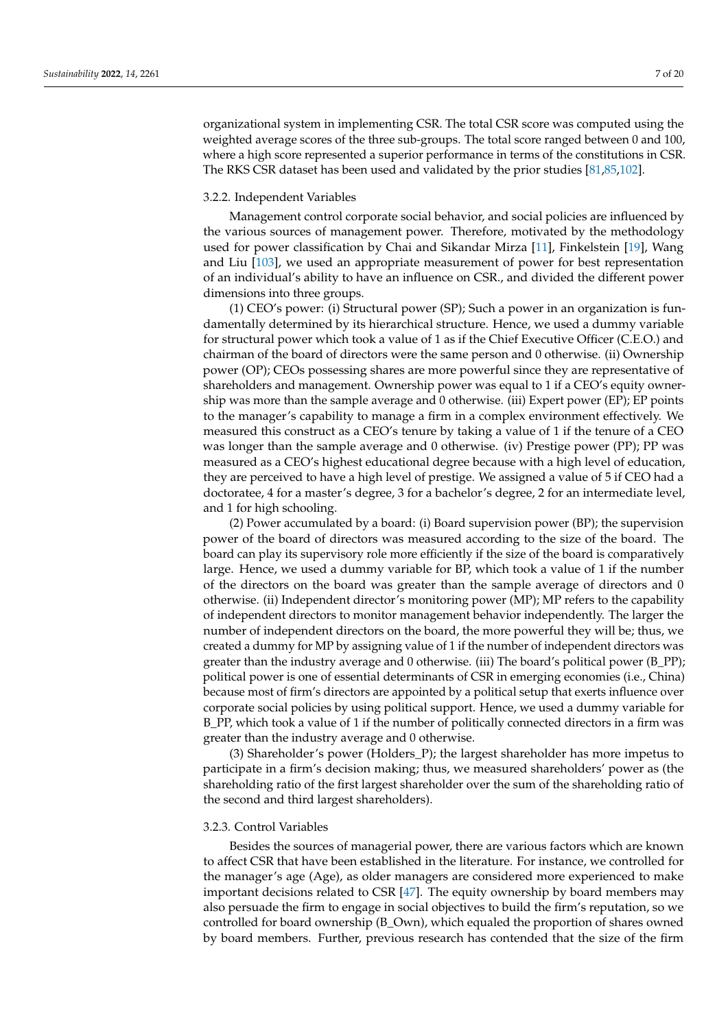organizational system in implementing CSR. The total CSR score was computed using the weighted average scores of the three sub-groups. The total score ranged between 0 and 100, where a high score represented a superior performance in terms of the constitutions in CSR. The RKS CSR dataset has been used and validated by the prior studies [\[81](#page-18-15)[,85](#page-18-19)[,102\]](#page-19-2).

## <span id="page-6-0"></span>3.2.2. Independent Variables

Management control corporate social behavior, and social policies are influenced by the various sources of management power. Therefore, motivated by the methodology used for power classification by Chai and Sikandar Mirza [\[11\]](#page-16-10), Finkelstein [\[19\]](#page-16-18), Wang and Liu [\[103\]](#page-19-3), we used an appropriate measurement of power for best representation of an individual's ability to have an influence on CSR., and divided the different power dimensions into three groups.

(1) CEO's power: (i) Structural power (SP); Such a power in an organization is fundamentally determined by its hierarchical structure. Hence, we used a dummy variable for structural power which took a value of 1 as if the Chief Executive Officer (C.E.O.) and chairman of the board of directors were the same person and 0 otherwise. (ii) Ownership power (OP); CEOs possessing shares are more powerful since they are representative of shareholders and management. Ownership power was equal to 1 if a CEO's equity ownership was more than the sample average and 0 otherwise. (iii) Expert power (EP); EP points to the manager's capability to manage a firm in a complex environment effectively. We measured this construct as a CEO's tenure by taking a value of 1 if the tenure of a CEO was longer than the sample average and 0 otherwise. (iv) Prestige power (PP); PP was measured as a CEO's highest educational degree because with a high level of education, they are perceived to have a high level of prestige. We assigned a value of 5 if CEO had a doctoratee, 4 for a master's degree, 3 for a bachelor's degree, 2 for an intermediate level, and 1 for high schooling.

(2) Power accumulated by a board: (i) Board supervision power (BP); the supervision power of the board of directors was measured according to the size of the board. The board can play its supervisory role more efficiently if the size of the board is comparatively large. Hence, we used a dummy variable for BP, which took a value of 1 if the number of the directors on the board was greater than the sample average of directors and 0 otherwise. (ii) Independent director's monitoring power (MP); MP refers to the capability of independent directors to monitor management behavior independently. The larger the number of independent directors on the board, the more powerful they will be; thus, we created a dummy for MP by assigning value of 1 if the number of independent directors was greater than the industry average and 0 otherwise. (iii) The board's political power (B\_PP); political power is one of essential determinants of CSR in emerging economies (i.e., China) because most of firm's directors are appointed by a political setup that exerts influence over corporate social policies by using political support. Hence, we used a dummy variable for B\_PP, which took a value of 1 if the number of politically connected directors in a firm was greater than the industry average and 0 otherwise.

(3) Shareholder's power (Holders\_P); the largest shareholder has more impetus to participate in a firm's decision making; thus, we measured shareholders' power as (the shareholding ratio of the first largest shareholder over the sum of the shareholding ratio of the second and third largest shareholders).

# 3.2.3. Control Variables

Besides the sources of managerial power, there are various factors which are known to affect CSR that have been established in the literature. For instance, we controlled for the manager's age (Age), as older managers are considered more experienced to make important decisions related to CSR [\[47\]](#page-17-12). The equity ownership by board members may also persuade the firm to engage in social objectives to build the firm's reputation, so we controlled for board ownership (B\_Own), which equaled the proportion of shares owned by board members. Further, previous research has contended that the size of the firm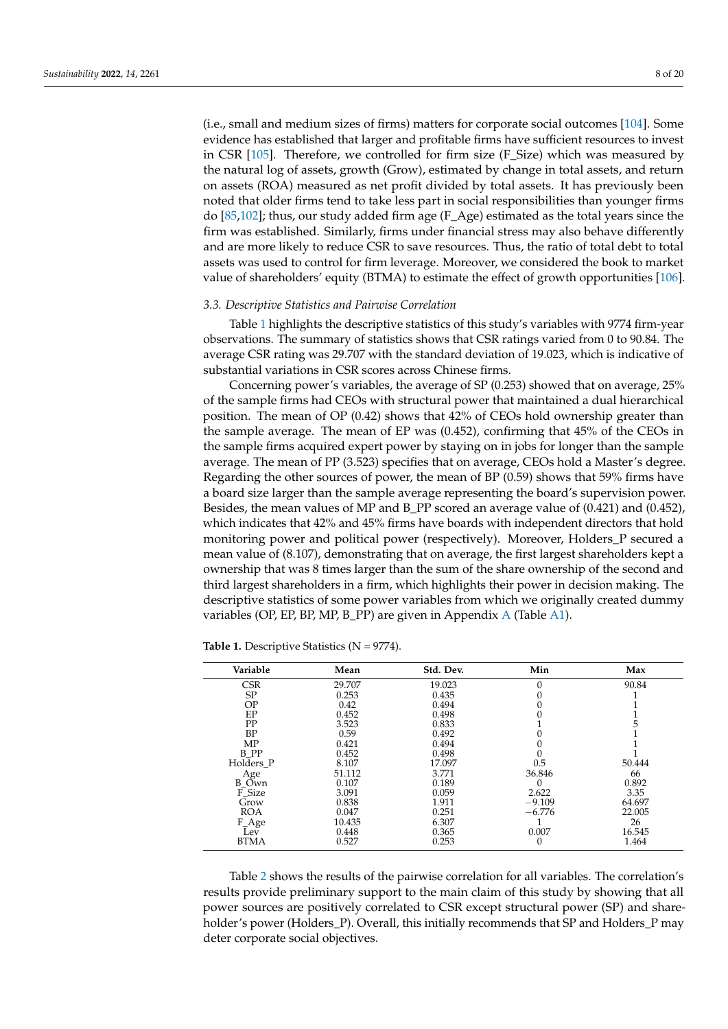(i.e., small and medium sizes of firms) matters for corporate social outcomes [\[104\]](#page-19-4). Some evidence has established that larger and profitable firms have sufficient resources to invest in CSR [\[105\]](#page-19-5). Therefore, we controlled for firm size (F\_Size) which was measured by the natural log of assets, growth (Grow), estimated by change in total assets, and return on assets (ROA) measured as net profit divided by total assets. It has previously been noted that older firms tend to take less part in social responsibilities than younger firms do [\[85](#page-18-19)[,102\]](#page-19-2); thus, our study added firm age (F\_Age) estimated as the total years since the firm was established. Similarly, firms under financial stress may also behave differently and are more likely to reduce CSR to save resources. Thus, the ratio of total debt to total assets was used to control for firm leverage. Moreover, we considered the book to market value of shareholders' equity (BTMA) to estimate the effect of growth opportunities [\[106\]](#page-19-6).

#### *3.3. Descriptive Statistics and Pairwise Correlation*

Table [1](#page-7-0) highlights the descriptive statistics of this study's variables with 9774 firm-year observations. The summary of statistics shows that CSR ratings varied from 0 to 90.84. The average CSR rating was 29.707 with the standard deviation of 19.023, which is indicative of substantial variations in CSR scores across Chinese firms.

Concerning power's variables, the average of SP (0.253) showed that on average, 25% of the sample firms had CEOs with structural power that maintained a dual hierarchical position. The mean of OP (0.42) shows that 42% of CEOs hold ownership greater than the sample average. The mean of EP was (0.452), confirming that 45% of the CEOs in the sample firms acquired expert power by staying on in jobs for longer than the sample average. The mean of PP (3.523) specifies that on average, CEOs hold a Master's degree. Regarding the other sources of power, the mean of BP (0.59) shows that 59% firms have a board size larger than the sample average representing the board's supervision power. Besides, the mean values of MP and B\_PP scored an average value of (0.421) and (0.452), which indicates that 42% and 45% firms have boards with independent directors that hold monitoring power and political power (respectively). Moreover, Holders\_P secured a mean value of (8.107), demonstrating that on average, the first largest shareholders kept a ownership that was 8 times larger than the sum of the share ownership of the second and third largest shareholders in a firm, which highlights their power in decision making. The descriptive statistics of some power variables from which we originally created dummy variables (OP, EP, BP, MP, B\_PP) are given in Appendix [A](#page-15-0) (Table [A1\)](#page-15-1).

| Max    |
|--------|
| 90.84  |
|        |
|        |
|        |
|        |
|        |
|        |
|        |
| 50.444 |
| 66     |
| 0.892  |
| 3.35   |
| 64.697 |
| 22.005 |
| 26     |
| 16.545 |
| 1.464  |
|        |

<span id="page-7-0"></span>Table 1. Descriptive Statistics (N = 9774).

Table [2](#page-8-0) shows the results of the pairwise correlation for all variables. The correlation's results provide preliminary support to the main claim of this study by showing that all power sources are positively correlated to CSR except structural power (SP) and shareholder's power (Holders\_P). Overall, this initially recommends that SP and Holders\_P may deter corporate social objectives.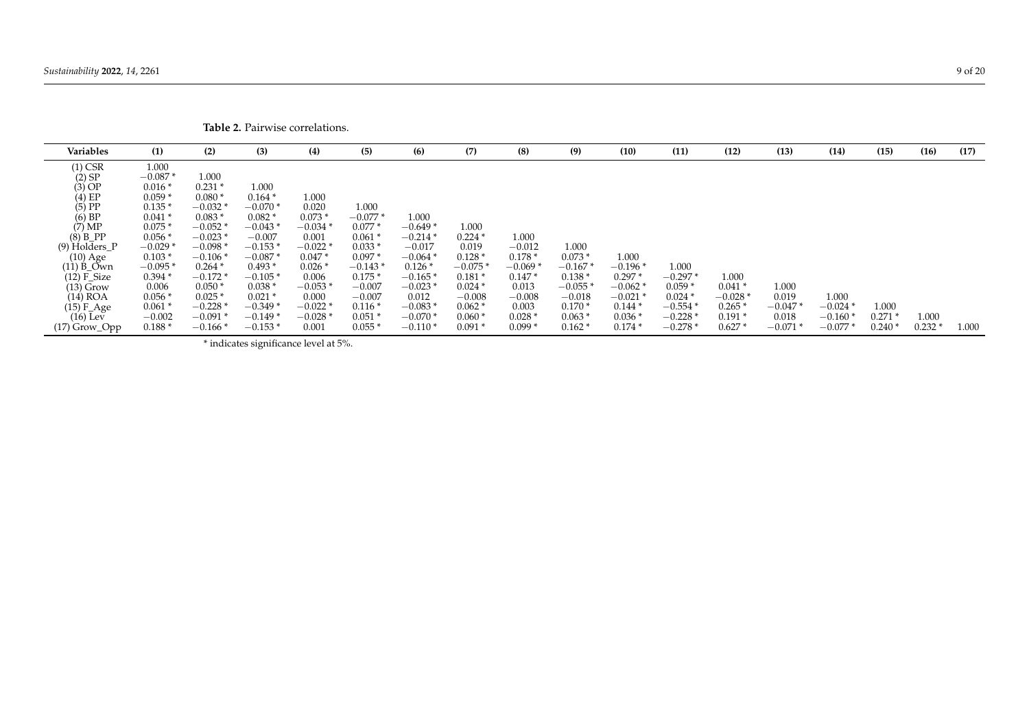| Variables       | (1)       | (2)       | (3)       | (4)      | (5)       | (6)       | (7)      | (8)       | (9)       | (10)      | (11)      | (12)      | (13)      | (14)      | (15)     | (16)  | (17)  |
|-----------------|-----------|-----------|-----------|----------|-----------|-----------|----------|-----------|-----------|-----------|-----------|-----------|-----------|-----------|----------|-------|-------|
| $(1)$ CSR       | 1.000     |           |           |          |           |           |          |           |           |           |           |           |           |           |          |       |       |
| $(2)$ SP        | $-0.087*$ | 1.000     |           |          |           |           |          |           |           |           |           |           |           |           |          |       |       |
| $(3)$ OP        | $0.016*$  | $0.231*$  | 1.000     |          |           |           |          |           |           |           |           |           |           |           |          |       |       |
| $(4)$ EP        | $0.059*$  | $0.080*$  | $0.164*$  | 1.000    |           |           |          |           |           |           |           |           |           |           |          |       |       |
| $(5)$ PP        | $0.135*$  | $-0.032*$ | $-0.070$  | 0.020    | 1.000     |           |          |           |           |           |           |           |           |           |          |       |       |
| $(6)$ BP        | $0.041*$  | $0.083*$  | $0.082*$  | $0.073*$ | $-0.077*$ | 1.000     |          |           |           |           |           |           |           |           |          |       |       |
| (7) MP          | $0.075*$  | $-0.052*$ | $-0.043$  | $-0.034$ | $0.077*$  | $-0.649*$ | 1.000    |           |           |           |           |           |           |           |          |       |       |
| $(8)$ B PP      | $0.056*$  | $-0.023*$ | $-0.007$  | 0.001    | $0.061*$  | $-0.214*$ | $0.224*$ | 1.000     |           |           |           |           |           |           |          |       |       |
| $(9)$ Holders_I | $-0.029$  | $-0.098*$ | $-0.153*$ | $-0.022$ | $0.033*$  | $-0.017$  | 0.019    | $-0.012$  | 1.000     |           |           |           |           |           |          |       |       |
| $(10)$ Age      | $0.103*$  | $-0.106*$ | $-0.087*$ | $0.047*$ | $0.097*$  | $-0.064$  | $0.128*$ | $0.178*$  | $0.073*$  | 1.000     |           |           |           |           |          |       |       |
| $(11)$ B_Own    | $-0.095$  | $0.264*$  | $0.493*$  | $0.026*$ | $-0.143*$ | $0.126*$  | $-0.075$ | $-0.069*$ | $-0.167*$ | $-0.196$  | 1.000     |           |           |           |          |       |       |
| $(12)$ F_Size   | $0.394*$  | $-0.172*$ | $-0.105*$ | 0.006    | $0.175*$  | $-0.165*$ | $0.181*$ | $0.147*$  | $0.138*$  | $0.297*$  | $-0.297*$ | 1.000     |           |           |          |       |       |
| $(13)$ Grow     | 0.006     | $0.050*$  | $0.038*$  | $-0.053$ | $-0.007$  | $-0.023$  | $0.024*$ | 0.013     | $-0.055*$ | $-0.062*$ | $0.059*$  | $0.041*$  | 1.000     |           |          |       |       |
| $(14)$ ROA      | $0.056*$  | $0.025*$  | $0.021*$  | 0.000    | $-0.007$  | 0.012     | $-0.008$ | $-0.008$  | $-0.018$  | $-0.021$  | $0.024*$  | $-0.028*$ | 0.019     | 1.000     |          |       |       |
| $(15)$ F_Age    | $0.061*$  | $-0.228*$ | $-0.349*$ | $-0.022$ | $0.116*$  | $-0.083*$ | $0.062*$ | 0.003     | $0.170*$  | $0.144*$  | $-0.554$  | $0.265*$  | $-0.047*$ | $-0.024*$ | 1.000    |       |       |
| $(16)$ Lev      | $-0.002$  | $-0.091*$ | $-0.149$  | $-0.028$ | $0.051*$  | $-0.070*$ | $0.060*$ | $0.028*$  | $0.063*$  | $0.036*$  | $-0.228$  | $0.191*$  | 0.018     | $-0.160*$ | $0.271*$ | 1.000 |       |
| $(17)$ Grow_Opp | $0.188*$  | $-0.166*$ | $-0.153*$ | 0.001    | $0.055*$  | $-0.110*$ | $0.091*$ | $0.099*$  | $0.162*$  | $0.174*$  | $-0.278$  | $0.627*$  | $-0.071$  | $-0.077$  | 0.240    | 0.232 | 1.000 |

<span id="page-8-0"></span>\* indicates significance level at 5%.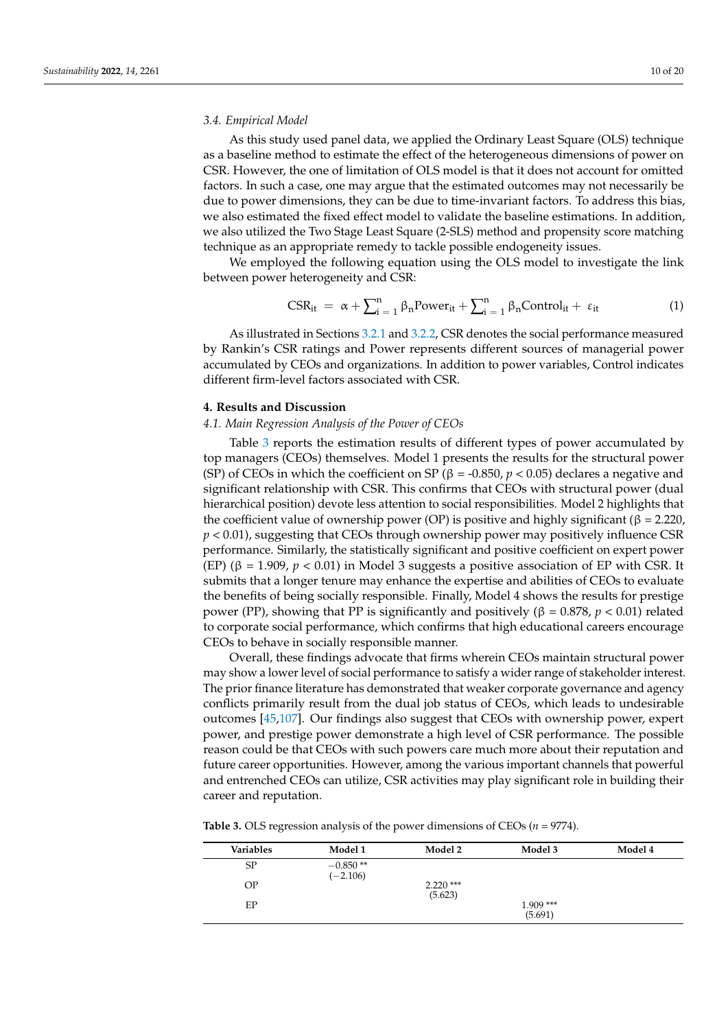#### *3.4. Empirical Model*

As this study used panel data, we applied the Ordinary Least Square (OLS) technique as a baseline method to estimate the effect of the heterogeneous dimensions of power on CSR. However, the one of limitation of OLS model is that it does not account for omitted factors. In such a case, one may argue that the estimated outcomes may not necessarily be due to power dimensions, they can be due to time-invariant factors. To address this bias, we also estimated the fixed effect model to validate the baseline estimations. In addition, we also utilized the Two Stage Least Square (2-SLS) method and propensity score matching technique as an appropriate remedy to tackle possible endogeneity issues.

We employed the following equation using the OLS model to investigate the link between power heterogeneity and CSR:

$$
CSR_{it} = \alpha + \sum_{i=1}^{n} \beta_{n}Power_{it} + \sum_{i=1}^{n} \beta_{n}Control_{it} + \varepsilon_{it}
$$
 (1)

As illustrated in Sections [3.2.1](#page-5-0) and [3.2.2,](#page-6-0) CSR denotes the social performance measured by Rankin's CSR ratings and Power represents different sources of managerial power accumulated by CEOs and organizations. In addition to power variables, Control indicates different firm-level factors associated with CSR.

# **4. Results and Discussion**

# *4.1. Main Regression Analysis of the Power of CEOs*

Table [3](#page-10-0) reports the estimation results of different types of power accumulated by top managers (CEOs) themselves. Model 1 presents the results for the structural power (SP) of CEOs in which the coefficient on SP ( $\beta$  = -0.850,  $p$  < 0.05) declares a negative and significant relationship with CSR. This confirms that CEOs with structural power (dual hierarchical position) devote less attention to social responsibilities. Model 2 highlights that the coefficient value of ownership power (OP) is positive and highly significant ( $\beta$  = 2.220, *p* < 0.01), suggesting that CEOs through ownership power may positively influence CSR performance. Similarly, the statistically significant and positive coefficient on expert power (EP) (β = 1.909, *p* < 0.01) in Model 3 suggests a positive association of EP with CSR. It submits that a longer tenure may enhance the expertise and abilities of CEOs to evaluate the benefits of being socially responsible. Finally, Model 4 shows the results for prestige power (PP), showing that PP is significantly and positively (β = 0.878, *p* < 0.01) related to corporate social performance, which confirms that high educational careers encourage CEOs to behave in socially responsible manner.

Overall, these findings advocate that firms wherein CEOs maintain structural power may show a lower level of social performance to satisfy a wider range of stakeholder interest. The prior finance literature has demonstrated that weaker corporate governance and agency conflicts primarily result from the dual job status of CEOs, which leads to undesirable outcomes [\[45](#page-17-10)[,107\]](#page-19-7). Our findings also suggest that CEOs with ownership power, expert power, and prestige power demonstrate a high level of CSR performance. The possible reason could be that CEOs with such powers care much more about their reputation and future career opportunities. However, among the various important channels that powerful and entrenched CEOs can utilize, CSR activities may play significant role in building their career and reputation.

**Table 3.** OLS regression analysis of the power dimensions of CEOs (*n* = 9774).

| Variables | Model 1                  | Model 2               | Model 3               | Model 4 |
|-----------|--------------------------|-----------------------|-----------------------|---------|
| SP        | $-0.850**$<br>$(-2.106)$ |                       |                       |         |
| ΟP        |                          | $2.220***$<br>(5.623) |                       |         |
| EP        |                          |                       | $1.909***$<br>(5.691) |         |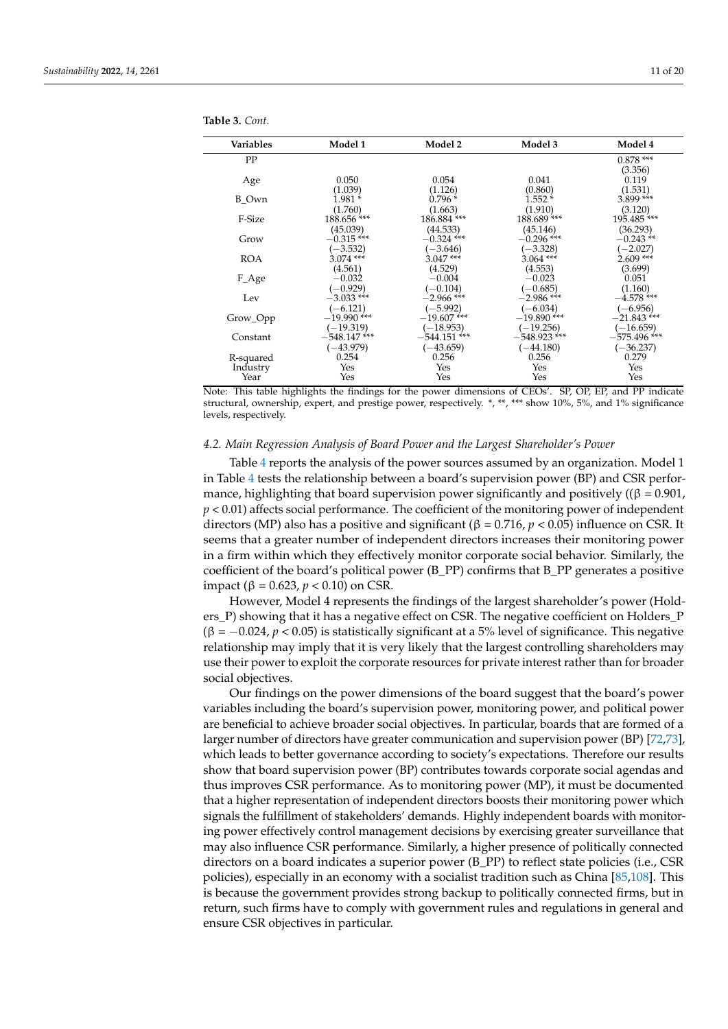| Variables  | Model 1                       | Model 2              | Model 3              | Model 4              |
|------------|-------------------------------|----------------------|----------------------|----------------------|
| PP         |                               |                      |                      | $0.878***$           |
|            |                               |                      |                      | (3.356)              |
| Age        | 0.050                         | 0.054                | 0.041                | 0.119                |
|            | (1.039)                       | (1.126)              | (0.860)              | (1.531)              |
| B Own      | $1.981*$                      | $0.796*$             | $1.552*$             | 3.899 ***            |
|            | (1.760)                       | (1.663)              | (1.910)              | (3.120)              |
| F-Size     | 188.656***                    | 186.884 ***          | 188.689***           | 195.485***           |
|            | (45.039)                      | (44.533)             | (45.146)             | (36.293)             |
| Grow       | $-0.315$ ***                  | $-0.324$ ***         | $-0.296$ ***         | $-0.243**$           |
|            | $(-3.532)$                    | $(-3.646)$           | $(-3.328)$           | $(-2.027)$           |
| <b>ROA</b> | $3.074$ ***                   | $3.047***$           | $3.064$ ***          | $2.609***$           |
|            | (4.561)                       | (4.529)              | (4.553)              | (3.699)              |
| F_Age      | $-0.032$                      | $-0.004$             | $-0.023$             | 0.051                |
|            | $(-0.929)$                    | $(-0.104)$           | $(-0.685)$           | (1.160)              |
| Lev        | $-3.033$ ***                  | $-2.966$ ***         | $-2.986$ ***         | $-4.578$ ***         |
|            | $(-6.121)$                    | $(-5.992)$           | $(-6.034)$           | $(-6.956)$           |
| Grow_Opp   | $-19.990$ ***                 | $-19.607$ ***        | $-19.890$ ***        | $-21.843$ ***        |
|            | $(-19.319)$<br>$-548.147$ *** | $(-18.953)$          | $(-19.256)$          | $(-16.659)$          |
| Constant   |                               | $-544.151$ ***       | $-548.923$ ***       | $-575.496$ ***       |
|            | $(-43.979)$<br>0.254          | $(-43.659)$<br>0.256 | $(-44.180)$<br>0.256 | $(-36.237)$<br>0.279 |
| R-squared  |                               | Yes                  | Yes                  | Yes                  |
| Industry   | Yes<br>Yes                    | Yes                  | Yes                  | Yes                  |
| Year       |                               |                      |                      |                      |

<span id="page-10-0"></span>**Table 3.** *Cont.*

Note: This table highlights the findings for the power dimensions of CEOs'. SP, OP, EP, and PP indicate structural, ownership, expert, and prestige power, respectively. \*, \*\*, \*\*\* show 10%, 5%, and 1% significance levels, respectively.

#### *4.2. Main Regression Analysis of Board Power and the Largest Shareholder's Power*

Table [4](#page-11-0) reports the analysis of the power sources assumed by an organization. Model 1 in Table [4](#page-11-0) tests the relationship between a board's supervision power (BP) and CSR performance, highlighting that board supervision power significantly and positively ( $(\beta = 0.901)$ , *p* < 0.01) affects social performance. The coefficient of the monitoring power of independent directors (MP) also has a positive and significant (β = 0.716, *p* < 0.05) influence on CSR. It seems that a greater number of independent directors increases their monitoring power in a firm within which they effectively monitor corporate social behavior. Similarly, the coefficient of the board's political power (B\_PP) confirms that B\_PP generates a positive impact (β = 0.623, *p* < 0.10) on CSR.

However, Model 4 represents the findings of the largest shareholder's power (Holders\_P) showing that it has a negative effect on CSR. The negative coefficient on Holders\_P (β = −0.024, *p* < 0.05) is statistically significant at a 5% level of significance. This negative relationship may imply that it is very likely that the largest controlling shareholders may use their power to exploit the corporate resources for private interest rather than for broader social objectives.

Our findings on the power dimensions of the board suggest that the board's power variables including the board's supervision power, monitoring power, and political power are beneficial to achieve broader social objectives. In particular, boards that are formed of a larger number of directors have greater communication and supervision power (BP) [\[72](#page-18-6)[,73\]](#page-18-7), which leads to better governance according to society's expectations. Therefore our results show that board supervision power (BP) contributes towards corporate social agendas and thus improves CSR performance. As to monitoring power (MP), it must be documented that a higher representation of independent directors boosts their monitoring power which signals the fulfillment of stakeholders' demands. Highly independent boards with monitoring power effectively control management decisions by exercising greater surveillance that may also influence CSR performance. Similarly, a higher presence of politically connected directors on a board indicates a superior power (B\_PP) to reflect state policies (i.e., CSR policies), especially in an economy with a socialist tradition such as China [\[85](#page-18-19)[,108\]](#page-19-8). This is because the government provides strong backup to politically connected firms, but in return, such firms have to comply with government rules and regulations in general and ensure CSR objectives in particular.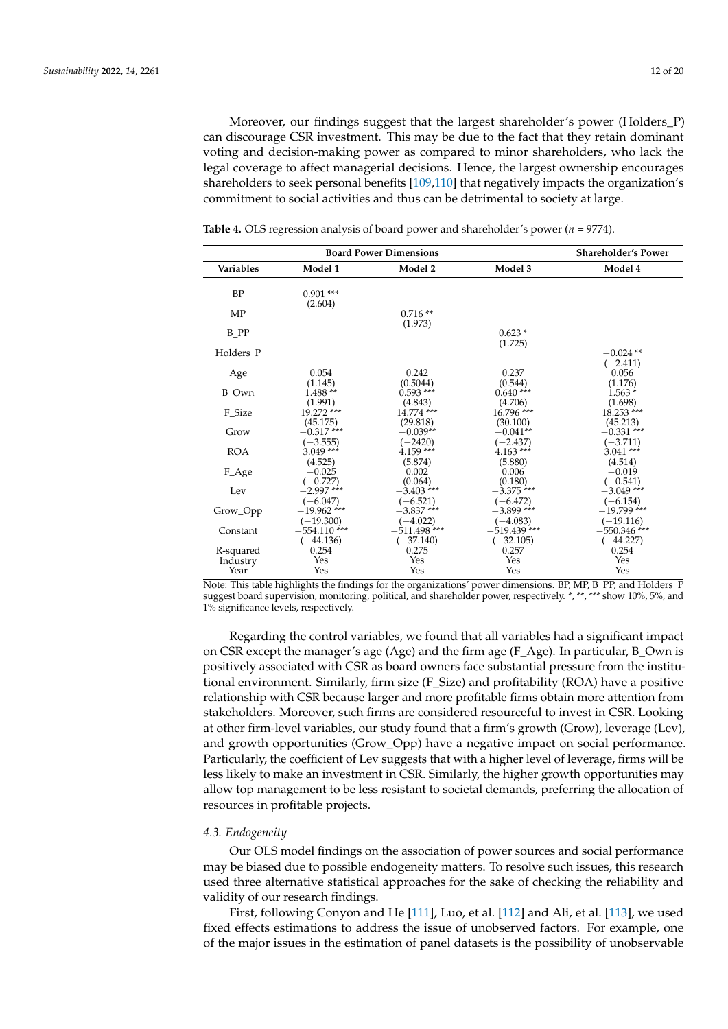Moreover, our findings suggest that the largest shareholder's power (Holders\_P) can discourage CSR investment. This may be due to the fact that they retain dominant voting and decision-making power as compared to minor shareholders, who lack the legal coverage to affect managerial decisions. Hence, the largest ownership encourages shareholders to seek personal benefits [\[109](#page-19-9)[,110\]](#page-19-10) that negatively impacts the organization's commitment to social activities and thus can be detrimental to society at large.

|                  |                                   | <b>Board Power Dimensions</b> |                               | <b>Shareholder's Power</b>        |
|------------------|-----------------------------------|-------------------------------|-------------------------------|-----------------------------------|
| <b>Variables</b> | Model 1                           | Model 2                       | Model 3                       | Model 4                           |
| <b>BP</b>        | $0.901$ ***<br>(2.604)            |                               |                               |                                   |
| MP               |                                   | $0.716**$<br>(1.973)          |                               |                                   |
| $B$ PP           |                                   |                               | $0.623*$<br>(1.725)           |                                   |
| Holders P        |                                   |                               |                               | $-0.024$ **<br>$(-2.411)$         |
| Age              | 0.054<br>(1.145)                  | 0.242<br>(0.5044)             | 0.237<br>(0.544)              | 0.056<br>(1.176)                  |
| B Own            | $1.488**$<br>(1.991)              | $0.593$ ***<br>(4.843)        | $0.640***$<br>(4.706)         | $1.563*$<br>(1.698)               |
| F_Size           | 19.272 ***                        | 14.774 ***                    | $16.796$ ***                  | $18.253$ ***                      |
| Grow             | (45.175)<br>$-0.317$ ***          | (29.818)<br>$-0.039**$        | (30.100)<br>$-0.041**$        | (45.213)<br>$-0.331$ ***          |
| <b>ROA</b>       | $(-3.555)$<br>$3.049$ ***         | $(-2420)$<br>$4.159$ ***      | $(-2.437)$<br>$4.163***$      | $(-3.711)$<br>$3.041***$          |
| F_Age            | (4.525)<br>$-0.025$<br>$(-0.727)$ | (5.874)<br>0.002<br>(0.064)   | (5.880)<br>0.006<br>(0.180)   | (4.514)<br>$-0.019$<br>$(-0.541)$ |
| Lev              | $-2.997$ ***<br>$(-6.047)$        | $-3.403$ ***<br>$(-6.521)$    | $-3.375$ ***<br>$(-6.472)$    | $-3.049$ ***<br>$(-6.154)$        |
| Grow_Opp         | $-19.962$ ***<br>$(-19.300)$      | $-3.837$ ***<br>$(-4.022)$    | $-3.899$ ***<br>$(-4.083)$    | $-19.799$ ***<br>(–19.116)        |
| Constant         | $-554.110$ ***<br>$(-44.136)$     | $-511.498$ ***<br>$(-37.140)$ | $-519.439$ ***<br>$(-32.105)$ | $-550.346$ ***<br>$(-44.227)$     |
| R-squared        | 0.254                             | 0.275                         | 0.257                         | 0.254                             |
| Industry         | Yes                               | Yes                           | Yes                           | Yes                               |
| Year             | Yes                               | Yes                           | Yes                           | Yes                               |

<span id="page-11-0"></span>**Table 4.** OLS regression analysis of board power and shareholder's power (*n =* 9774).

Note: This table highlights the findings for the organizations' power dimensions. BP, MP, B\_PP, and Holders\_P suggest board supervision, monitoring, political, and shareholder power, respectively. \*, \*\*, \*\*\* show 10%, 5%, and 1% significance levels, respectively.

Regarding the control variables, we found that all variables had a significant impact on CSR except the manager's age (Age) and the firm age (F\_Age). In particular, B\_Own is positively associated with CSR as board owners face substantial pressure from the institutional environment. Similarly, firm size (F\_Size) and profitability (ROA) have a positive relationship with CSR because larger and more profitable firms obtain more attention from stakeholders. Moreover, such firms are considered resourceful to invest in CSR. Looking at other firm-level variables, our study found that a firm's growth (Grow), leverage (Lev), and growth opportunities (Grow\_Opp) have a negative impact on social performance. Particularly, the coefficient of Lev suggests that with a higher level of leverage, firms will be less likely to make an investment in CSR. Similarly, the higher growth opportunities may allow top management to be less resistant to societal demands, preferring the allocation of resources in profitable projects.

## *4.3. Endogeneity*

Our OLS model findings on the association of power sources and social performance may be biased due to possible endogeneity matters. To resolve such issues, this research used three alternative statistical approaches for the sake of checking the reliability and validity of our research findings.

First, following Conyon and He [\[111\]](#page-19-11), Luo, et al. [\[112\]](#page-19-12) and Ali, et al. [\[113\]](#page-19-13), we used fixed effects estimations to address the issue of unobserved factors. For example, one of the major issues in the estimation of panel datasets is the possibility of unobservable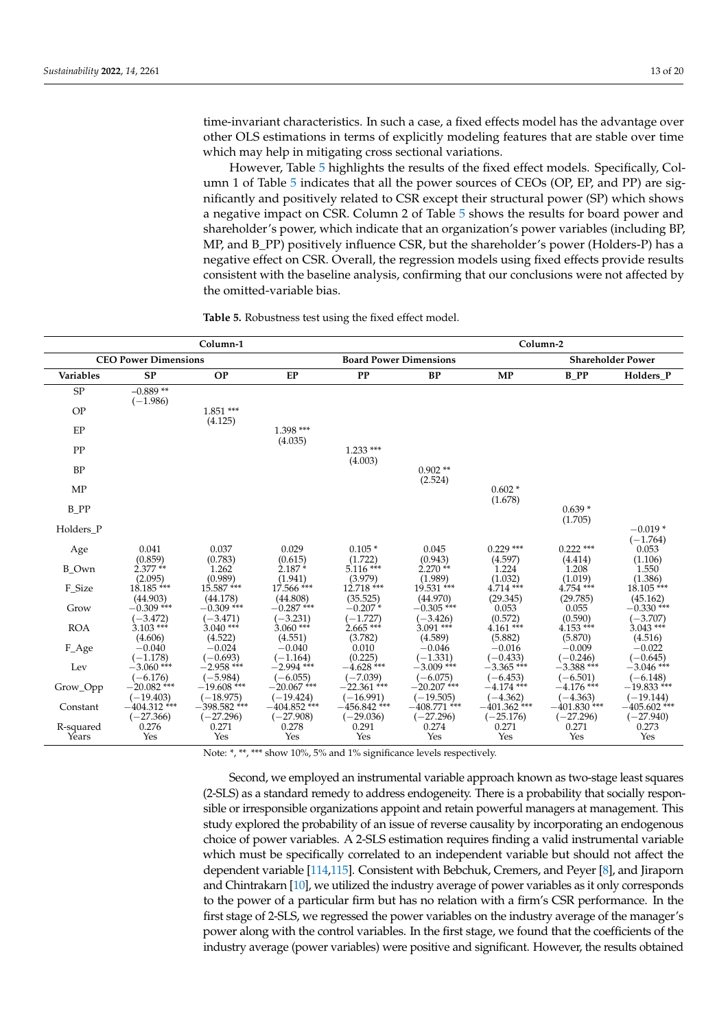time-invariant characteristics. In such a case, a fixed effects model has the advantage over other OLS estimations in terms of explicitly modeling features that are stable over time which may help in mitigating cross sectional variations.

However, Table [5](#page-12-0) highlights the results of the fixed effect models. Specifically, Column 1 of Table [5](#page-12-0) indicates that all the power sources of CEOs (OP, EP, and PP) are significantly and positively related to CSR except their structural power (SP) which shows a negative impact on CSR. Column 2 of Table [5](#page-12-0) shows the results for board power and shareholder's power, which indicate that an organization's power variables (including BP, MP, and B\_PP) positively influence CSR, but the shareholder's power (Holders-P) has a negative effect on CSR. Overall, the regression models using fixed effects provide results consistent with the baseline analysis, confirming that our conclusions were not affected by the omitted-variable bias.

| Column-1                    |                                        |                                    |                                    |                               |                               | Column-2                     |                              |                               |
|-----------------------------|----------------------------------------|------------------------------------|------------------------------------|-------------------------------|-------------------------------|------------------------------|------------------------------|-------------------------------|
| <b>CEO Power Dimensions</b> |                                        |                                    |                                    | <b>Board Power Dimensions</b> |                               |                              |                              | <b>Shareholder Power</b>      |
| <b>Variables</b>            | <b>SP</b>                              | <b>OP</b>                          | EP                                 | PP                            | <b>BP</b>                     | <b>MP</b>                    | <b>B</b> PP                  | Holders P                     |
| SP                          | $-0.889**$<br>$(-1.986)$               |                                    |                                    |                               |                               |                              |                              |                               |
| OP                          |                                        | $1.851***$<br>(4.125)              |                                    |                               |                               |                              |                              |                               |
| EP                          |                                        |                                    | $1.398***$<br>(4.035)              |                               |                               |                              |                              |                               |
| PP                          |                                        |                                    |                                    | $1.233***$<br>(4.003)         |                               |                              |                              |                               |
| <b>BP</b>                   |                                        |                                    |                                    |                               | $0.902**$                     |                              |                              |                               |
| <b>MP</b>                   |                                        |                                    |                                    |                               | (2.524)                       | $0.602*$<br>(1.678)          |                              |                               |
| B PP                        |                                        |                                    |                                    |                               |                               |                              | $0.639*$<br>(1.705)          |                               |
| Holders P                   |                                        |                                    |                                    |                               |                               |                              |                              | $-0.019*$                     |
| Age                         | 0.041                                  | 0.037                              | 0.029                              | $0.105*$                      | 0.045                         | $0.229$ ***                  | $0.222$ ***                  | $(-1.764)$<br>0.053           |
| <b>B_Own</b>                | (0.859)<br>$2.377**$                   | (0.783)<br>1.262                   | (0.615)<br>$2.187*$                | (1.722)<br>$5.116***$         | (0.943)<br>$2.270**$          | (4.597)<br>1.224             | (4.414)<br>1.208             | (1.106)<br>1.550              |
| F_Size                      | (2.095)<br>$18.185***$                 | (0.989)<br>$15.587$ <sup>***</sup> | (1.941)<br>$17.566$ <sup>***</sup> | (3.979)<br>$12.718***$        | (1.989)<br>$19.531$ ***       | (1.032)<br>$4.714***$        | (1.019)<br>$4.754$ ***       | (1.386)<br>18.105***          |
| Grow                        | (44.903)<br>$-0.309$ <sup>***</sup>    | (44.178)<br>$-0.309$ ***           | (44.808)<br>$-0.287$ ***           | (35.525)<br>$-0.207*$         | (44.970)<br>$-0.305$ ***      | (29.345)<br>0.053            | (29.785)<br>0.055            | (45.162)<br>$-0.330$ ***      |
| <b>ROA</b>                  | $(-3.472)$<br>$3.103***$               | $(-3.471)$<br>$3.040$ ***          | $(-3.231)$<br>$3.060$ ***          | $(-1.727)$<br>$2.665***$      | $(-3.426)$<br>$3.091$ ***     | (0.572)<br>$4.161***$        | (0.590)<br>$4.153***$        | $(-3.707)$<br>$3.043***$      |
| F_Age                       | (4.606)<br>$-0.040$                    | (4.522)<br>$-0.024$                | (4.551)<br>$-0.040$                | (3.782)<br>0.010              | (4.589)<br>$-0.046$           | (5.882)<br>$-0.016$          | (5.870)<br>$-0.009$          | (4.516)<br>$-0.022$           |
| Lev                         | $(-1.178)$<br>$-3.060$ ***             | $(-0.693)$<br>$-2.958$ ***         | $(-1.164)$<br>$-2.994$ ***         | (0.225)<br>$-4.628$ ***       | $(-1.331)$<br>$-3.009$ ***    | $(-0.433)$<br>$-3.365$ ***   | $(-0.246)$<br>$-3.388$ ***   | $(-0.645)$<br>$-3.046$ ***    |
| Grow_Opp                    | $(-6.176)$<br>$-20.082$ <sup>***</sup> | $(-5.984)$<br>$-19.608$ ***        | $(-6.055)$<br>$-20.067$ ***        | $(-7.039)$<br>$-22.361$ ***   | $(-6.075)$<br>$-20.207$ ***   | $(-6.453)$<br>$-4.174$ ***   | $(-6.501)$<br>$-4.176$ ***   | $(-6.148)$<br>$-19.833$ ***   |
| Constant                    | $(-19.403)$<br>$-404.312$ ***          | $(-18.975)$<br>$-398.582$ ***      | $(-19.424)$<br>$-404.852$ ***      | $(-16.991)$<br>$-456.842$ *** | $(-19.505)$<br>$-408.771$ *** | $(-4.362)$<br>$-401.362$ *** | $(-4.363)$<br>$-401.830$ *** | $(-19.144)$<br>$-405.602$ *** |
| R-squared<br>Years          | $(-27.366)$<br>0.276<br>Yes            | $(-27.296)$<br>0.271<br>Yes        | $(-27.908)$<br>0.278<br>Yes        | $(-29.036)$<br>0.291<br>Yes   | $(-27.296)$<br>0.274<br>Yes   | $(-25.176)$<br>0.271<br>Yes  | $(-27.296)$<br>0.271<br>Yes  | $(-27.940)$<br>0.273<br>Yes   |

<span id="page-12-0"></span>**Table 5.** Robustness test using the fixed effect model.

Note: \*, \*\*, \*\*\* show 10%, 5% and 1% significance levels respectively.

Second, we employed an instrumental variable approach known as two-stage least squares (2-SLS) as a standard remedy to address endogeneity. There is a probability that socially responsible or irresponsible organizations appoint and retain powerful managers at management. This study explored the probability of an issue of reverse causality by incorporating an endogenous choice of power variables. A 2-SLS estimation requires finding a valid instrumental variable which must be specifically correlated to an independent variable but should not affect the dependent variable [\[114](#page-19-14)[,115\]](#page-19-15). Consistent with Bebchuk, Cremers, and Peyer [\[8\]](#page-16-7), and Jiraporn and Chintrakarn [\[10\]](#page-16-9), we utilized the industry average of power variables as it only corresponds to the power of a particular firm but has no relation with a firm's CSR performance. In the first stage of 2-SLS, we regressed the power variables on the industry average of the manager's power along with the control variables. In the first stage, we found that the coefficients of the industry average (power variables) were positive and significant. However, the results obtained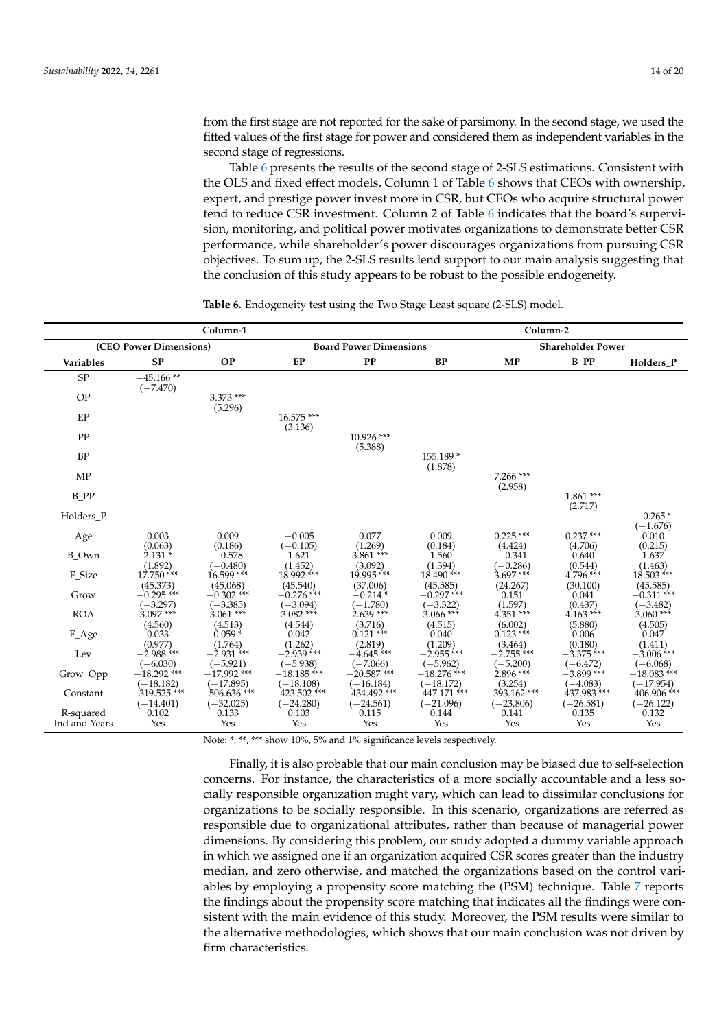from the first stage are not reported for the sake of parsimony. In the second stage, we used the fitted values of the first stage for power and considered them as independent variables in the second stage of regressions.

Table [6](#page-13-0) presents the results of the second stage of 2-SLS estimations. Consistent with the OLS and fixed effect models, Column 1 of Table [6](#page-13-0) shows that CEOs with ownership, expert, and prestige power invest more in CSR, but CEOs who acquire structural power tend to reduce CSR investment. Column 2 of Table [6](#page-13-0) indicates that the board's supervision, monitoring, and political power motivates organizations to demonstrate better CSR performance, while shareholder's power discourages organizations from pursuing CSR objectives. To sum up, the 2-SLS results lend support to our main analysis suggesting that the conclusion of this study appears to be robust to the possible endogeneity.

|                            |                               | Column-2                           |                                        |                               |                                                 |                                    |                                    |                               |
|----------------------------|-------------------------------|------------------------------------|----------------------------------------|-------------------------------|-------------------------------------------------|------------------------------------|------------------------------------|-------------------------------|
|                            | (CEO Power Dimensions)        |                                    | <b>Board Power Dimensions</b>          |                               |                                                 |                                    | <b>Shareholder Power</b>           |                               |
| Variables                  | <b>SP</b>                     | <b>OP</b>                          | EP                                     | <b>PP</b>                     | <b>BP</b>                                       | <b>MP</b>                          | B PP                               | Holders_P                     |
| SP                         | $-45.166**$<br>$(-7.470)$     |                                    |                                        |                               |                                                 |                                    |                                    |                               |
| OP                         |                               | $3.373$ ***<br>(5.296)             |                                        |                               |                                                 |                                    |                                    |                               |
| EP                         |                               |                                    | 16.575***<br>(3.136)                   |                               |                                                 |                                    |                                    |                               |
| PP                         |                               |                                    |                                        | 10.926 ***<br>(5.388)         |                                                 |                                    |                                    |                               |
| <b>BP</b>                  |                               |                                    |                                        |                               | 155.189 *<br>(1.878)                            |                                    |                                    |                               |
| <b>MP</b>                  |                               |                                    |                                        |                               |                                                 | $7.266$ ***<br>(2.958)             |                                    |                               |
| B PP                       |                               |                                    |                                        |                               |                                                 |                                    | $1.861***$<br>(2.717)              |                               |
| Holders P                  |                               |                                    |                                        |                               |                                                 |                                    |                                    | $-0.265*$                     |
| Age                        | 0.003                         | 0.009                              | $-0.005$                               | 0.077                         | 0.009                                           | $0.225$ ***                        | $0.237***$                         | $(-1.676)$<br>0.010           |
| <b>B</b> Own               | (0.063)<br>$2.131*$           | (0.186)<br>$-0.578$                | $(-0.105)$<br>1.621                    | (1.269)<br>$3.861***$         | (0.184)<br>1.560                                | (4.424)<br>$-0.341$                | (4.706)<br>0.640                   | (0.215)<br>1.637              |
| F_Size                     | (1.892)<br>$17.750$ ***       | $(-0.480)$<br>$16.599$ ***         | (1.452)<br>18.992 ***                  | (3.092)<br>$19.995$ ***       | (1.394)<br>$18.490$ <sup>***</sup>              | $(-0.286)$<br>$3.697***$           | (0.544)<br>$4.796$ ***             | (1.463)<br>$18.503$ ***       |
| Grow                       | (45.373)<br>$-0.295$ ***      | (45.068)<br>$-0.302$ ***           | (45.540)<br>$-0.276$ ***               | (37.006)<br>$-0.214*$         | (45.585)<br>$-0.297$ ***                        | (24.267)<br>0.151                  | (30.100)<br>0.041                  | (45.585)<br>$-0.311$ ***      |
| <b>ROA</b>                 | $(-3.297)$<br>$3.097***$      | $(-3.385)$<br>$3.061***$           | $(-3.094)$<br>$3.082***$               | $(-1.780)$<br>$2.639***$      | $(-3.322)$<br>$3.066$ ***                       | (1.597)<br>$4.351***$              | (0.437)<br>$4.163***$              | $(-3.482)$<br>$3.060***$      |
| F_Age                      | (4.560)<br>0.033              | (4.513)<br>$0.059*$                | (4.544)<br>0.042                       | (3.716)<br>$0.121$ ***        | (4.515)<br>0.040                                | (6.002)<br>$0.123$ ***             | (5.880)<br>0.006                   | (4.505)<br>0.047              |
| Lev                        | (0.977)<br>$-2.988$ ***       | (1.764)<br>$-2.931$ <sup>***</sup> | (1.262)<br>$-2.939$ <sup>***</sup>     | (2.819)<br>$-4.645$ ***       | (1.209)<br>$-2.955$ <sup><math>***</math></sup> | (3.464)<br>$-2.755$ <sup>***</sup> | (0.180)<br>$-3.375$ <sup>***</sup> | (1.411)<br>$-3.006$ ***       |
| Grow_Opp                   | $(-6.030)$<br>$-18.292$ ***   | $(-5.921)$<br>$-17.992$ ***        | $(-5.938)$<br>$-18.185$ <sup>***</sup> | $(-7.066)$<br>$-20.587$ ***   | $(-5.962)$<br>$-18.276$ ***                     | $(-5.200)$<br>$2.896***$           | $(-6.472)$<br>$-3.899$ ***         | $(-6.068)$<br>$-18.083$ ***   |
| Constant                   | $(-18.182)$<br>$-319.525$ *** | $(-17.895)$<br>$-506.636$ ***      | $(-18.108)$<br>$-423.502$ ***          | $(-16.184)$<br>$-434.492$ *** | $(-18.172)$<br>$-447.171$ ***                   | (3.254)<br>$-393.162$ ***          | $(-4.083)$<br>$-437.983$ ***       | $(-17.954)$<br>$-406.906$ *** |
| R-squared<br>Ind and Years | $(-14.401)$<br>0.102<br>Yes   | $(-32.025)$<br>0.133<br>Yes        | $(-24.280)$<br>0.103<br>Yes            | $(-24.561)$<br>0.115<br>Yes   | $(-21.096)$<br>0.144<br>Yes                     | $(-23.806)$<br>0.141<br>Yes        | $(-26.581)$<br>0.135<br>Yes        | $(-26.122)$<br>0.132<br>Yes   |

<span id="page-13-0"></span>**Table 6.** Endogeneity test using the Two Stage Least square (2-SLS) model.

Note: \*, \*\*, \*\*\* show 10%, 5% and 1% significance levels respectively.

Finally, it is also probable that our main conclusion may be biased due to self-selection concerns. For instance, the characteristics of a more socially accountable and a less socially responsible organization might vary, which can lead to dissimilar conclusions for organizations to be socially responsible. In this scenario, organizations are referred as responsible due to organizational attributes, rather than because of managerial power dimensions. By considering this problem, our study adopted a dummy variable approach in which we assigned one if an organization acquired CSR scores greater than the industry median, and zero otherwise, and matched the organizations based on the control variables by employing a propensity score matching the (PSM) technique. Table [7](#page-14-0) reports the findings about the propensity score matching that indicates all the findings were consistent with the main evidence of this study. Moreover, the PSM results were similar to the alternative methodologies, which shows that our main conclusion was not driven by firm characteristics.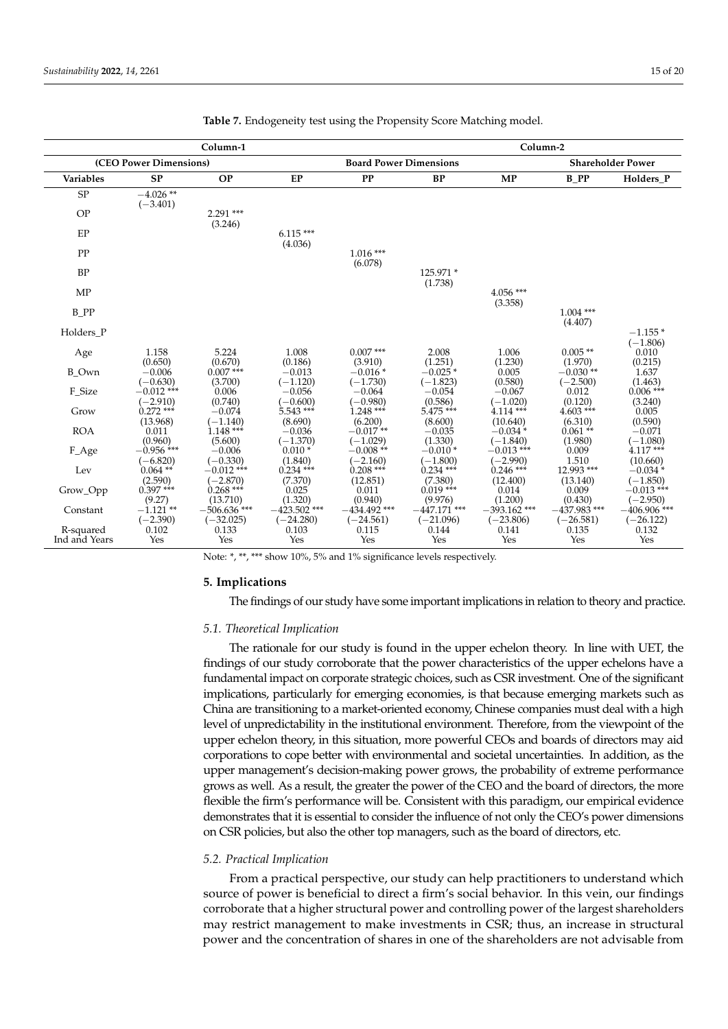|                        |                            | Column-1                      |                               |                               |                               | Column-2                      |                               |                                |
|------------------------|----------------------------|-------------------------------|-------------------------------|-------------------------------|-------------------------------|-------------------------------|-------------------------------|--------------------------------|
| (CEO Power Dimensions) |                            |                               | <b>Board Power Dimensions</b> |                               |                               | <b>Shareholder Power</b>      |                               |                                |
| <b>Variables</b>       | <b>SP</b>                  | <b>OP</b>                     | <b>EP</b>                     | PP                            | <b>BP</b>                     | MP                            | $B$ $PP$                      | Holders P                      |
| ${\rm SP}$             | $-4.026**$<br>$(-3.401)$   |                               |                               |                               |                               |                               |                               |                                |
| <b>OP</b>              |                            | $2.291$ ***<br>(3.246)        |                               |                               |                               |                               |                               |                                |
| EP                     |                            |                               | $6.115***$<br>(4.036)         |                               |                               |                               |                               |                                |
| PP                     |                            |                               |                               | $1.016***$<br>(6.078)         |                               |                               |                               |                                |
| <b>BP</b>              |                            |                               |                               |                               | 125.971 *<br>(1.738)          |                               |                               |                                |
| <b>MP</b>              |                            |                               |                               |                               |                               | $4.056***$<br>(3.358)         |                               |                                |
| B PP                   |                            |                               |                               |                               |                               |                               | $1.004$ ***<br>(4.407)        |                                |
| Holders P              |                            |                               |                               |                               |                               |                               |                               | $-1.155*$                      |
| Age                    | 1.158<br>(0.650)           | 5.224<br>(0.670)              | 1.008<br>(0.186)              | $0.007$ ***<br>(3.910)        | 2.008<br>(1.251)              | 1.006<br>(1.230)              | $0.005$ **<br>(1.970)         | $(-1.806)$<br>0.010<br>(0.215) |
| <b>B</b> Own           | $-0.006$<br>$(-0.630)$     | $0.007$ ***<br>(3.700)        | $-0.013$<br>$(-1.120)$        | $-0.016*$<br>$(-1.730)$       | $-0.025*$<br>$(-1.823)$       | 0.005<br>(0.580)              | $-0.030**$<br>$(-2.500)$      | 1.637<br>(1.463)               |
| F_Size                 | $-0.012$ ***<br>$(-2.910)$ | 0.006<br>(0.740)              | $-0.056$<br>$(-0.600)$        | $-0.064$<br>$(-0.980)$        | $-0.054$<br>(0.586)           | $-0.067$<br>$(-1.020)$        | 0.012<br>(0.120)              | $0.006$ ***<br>(3.240)         |
| Grow                   | $0.272$ ***<br>(13.968)    | $-0.074$<br>$(-1.140)$        | $5.543***$<br>(8.690)         | $1.248***$<br>(6.200)         | $5.475***$<br>(8.600)         | $4.114***$<br>(10.640)        | $4.603***$<br>(6.310)         | 0.005<br>(0.590)               |
| <b>ROA</b>             | 0.011<br>(0.960)           | $1.148***$<br>(5.600)         | $-0.036$<br>$(-1.370)$        | $-0.017**$<br>$(-1.029)$      | $-0.035$<br>(1.330)           | $-0.034*$<br>$(-1.840)$       | $0.061**$<br>(1.980)          | $-0.071$<br>$(-1.080)$         |
| F_Age                  | $-0.956$ ***<br>$(-6.820)$ | $-0.006$<br>$(-0.330)$        | $0.010*$<br>(1.840)           | $-0.008**$<br>$(-2.160)$      | $-0.010*$<br>$(-1.800)$       | $-0.013$ ***<br>$(-2.990)$    | 0.009<br>1.510                | $4.117***$<br>(10.660)         |
| Lev                    | $0.064**$<br>(2.590)       | $-0.012$ ***<br>$(-2.870)$    | $0.234$ ***<br>(7.370)        | $0.208***$<br>(12.851)        | $0.234***$<br>(7.380)         | $0.246$ ***<br>(12.400)       | 12.993 ***<br>(13.140)        | $-0.034*$<br>$(-1.850)$        |
| Grow_Opp               | $0.397***$<br>(9.27)       | $0.268$ ***<br>(13.710)       | 0.025<br>(1.320)              | 0.011<br>(0.940)              | $0.019***$<br>(9.976)         | 0.014<br>(1.200)              | 0.009<br>(0.430)              | $-0.013$ ***<br>$(-2.950)$     |
| Constant               | $-1.121$ **<br>$(-2.390)$  | $-506.636$ ***<br>$(-32.025)$ | $-423.502$ ***<br>$(-24.280)$ | $-434.492$ ***<br>$(-24.561)$ | $-447.171$ ***<br>$(-21.096)$ | $-393.162$ ***<br>$(-23.806)$ | $-437.983$ ***<br>$(-26.581)$ | $-406.906$ ***<br>$(-26.122)$  |
| R-squared              | 0.102                      | 0.133                         | 0.103                         | 0.115                         | 0.144                         | 0.141                         | 0.135                         | 0.132                          |
| Ind and Years          | Yes                        | Yes                           | Yes                           | Yes                           | Yes                           | Yes                           | Yes                           | Yes                            |

<span id="page-14-0"></span>

|  |  | Table 7. Endogeneity test using the Propensity Score Matching model. |  |
|--|--|----------------------------------------------------------------------|--|
|  |  |                                                                      |  |

Note: \*, \*\*, \*\*\* show 10%, 5% and 1% significance levels respectively.

# **5. Implications**

The findings of our study have some important implications in relation to theory and practice.

## *5.1. Theoretical Implication*

The rationale for our study is found in the upper echelon theory. In line with UET, the findings of our study corroborate that the power characteristics of the upper echelons have a fundamental impact on corporate strategic choices, such as CSR investment. One of the significant implications, particularly for emerging economies, is that because emerging markets such as China are transitioning to a market-oriented economy, Chinese companies must deal with a high level of unpredictability in the institutional environment. Therefore, from the viewpoint of the upper echelon theory, in this situation, more powerful CEOs and boards of directors may aid corporations to cope better with environmental and societal uncertainties. In addition, as the upper management's decision-making power grows, the probability of extreme performance grows as well. As a result, the greater the power of the CEO and the board of directors, the more flexible the firm's performance will be. Consistent with this paradigm, our empirical evidence demonstrates that it is essential to consider the influence of not only the CEO's power dimensions on CSR policies, but also the other top managers, such as the board of directors, etc.

## *5.2. Practical Implication*

From a practical perspective, our study can help practitioners to understand which source of power is beneficial to direct a firm's social behavior. In this vein, our findings corroborate that a higher structural power and controlling power of the largest shareholders may restrict management to make investments in CSR; thus, an increase in structural power and the concentration of shares in one of the shareholders are not advisable from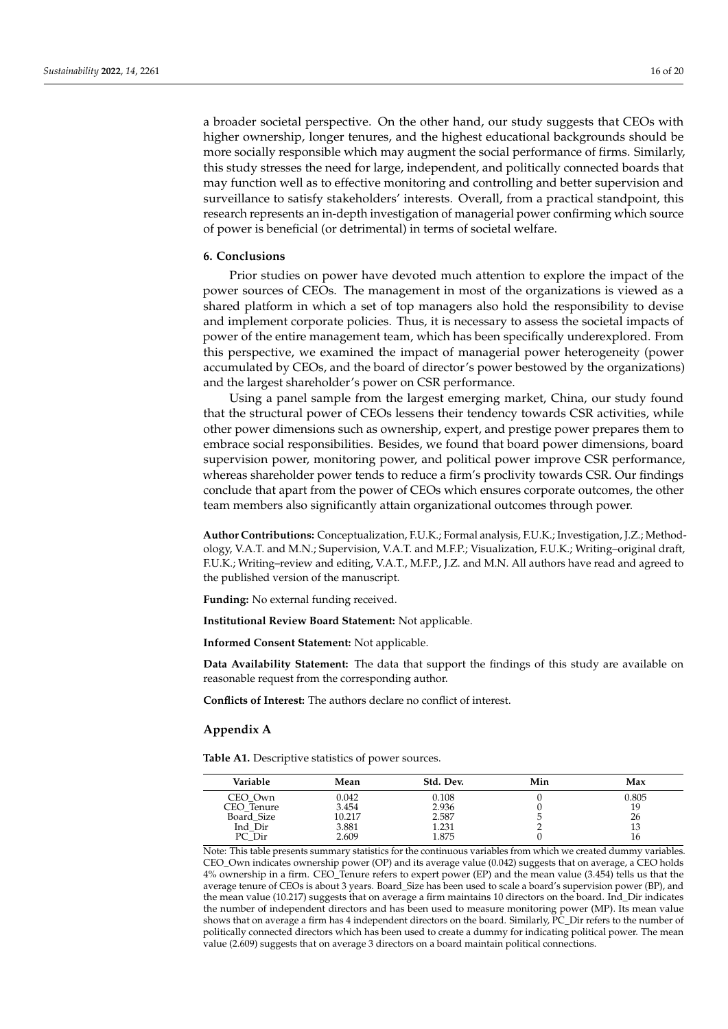a broader societal perspective. On the other hand, our study suggests that CEOs with higher ownership, longer tenures, and the highest educational backgrounds should be more socially responsible which may augment the social performance of firms. Similarly, this study stresses the need for large, independent, and politically connected boards that may function well as to effective monitoring and controlling and better supervision and surveillance to satisfy stakeholders' interests. Overall, from a practical standpoint, this research represents an in-depth investigation of managerial power confirming which source of power is beneficial (or detrimental) in terms of societal welfare.

# **6. Conclusions**

Prior studies on power have devoted much attention to explore the impact of the power sources of CEOs. The management in most of the organizations is viewed as a shared platform in which a set of top managers also hold the responsibility to devise and implement corporate policies. Thus, it is necessary to assess the societal impacts of power of the entire management team, which has been specifically underexplored. From this perspective, we examined the impact of managerial power heterogeneity (power accumulated by CEOs, and the board of director's power bestowed by the organizations) and the largest shareholder's power on CSR performance.

Using a panel sample from the largest emerging market, China, our study found that the structural power of CEOs lessens their tendency towards CSR activities, while other power dimensions such as ownership, expert, and prestige power prepares them to embrace social responsibilities. Besides, we found that board power dimensions, board supervision power, monitoring power, and political power improve CSR performance, whereas shareholder power tends to reduce a firm's proclivity towards CSR. Our findings conclude that apart from the power of CEOs which ensures corporate outcomes, the other team members also significantly attain organizational outcomes through power.

**Author Contributions:** Conceptualization, F.U.K.; Formal analysis, F.U.K.; Investigation, J.Z.; Methodology, V.A.T. and M.N.; Supervision, V.A.T. and M.F.P.; Visualization, F.U.K.; Writing–original draft, F.U.K.; Writing–review and editing, V.A.T., M.F.P., J.Z. and M.N. All authors have read and agreed to the published version of the manuscript.

**Funding:** No external funding received.

**Institutional Review Board Statement:** Not applicable.

**Informed Consent Statement:** Not applicable.

**Data Availability Statement:** The data that support the findings of this study are available on reasonable request from the corresponding author.

**Conflicts of Interest:** The authors declare no conflict of interest.

## <span id="page-15-0"></span>**Appendix A**

<span id="page-15-1"></span>**Table A1.** Descriptive statistics of power sources.

| Mean   | Std. Dev. | Min | Max   |
|--------|-----------|-----|-------|
| 0.042  | 0.108     |     | 0.805 |
| 3.454  | 2.936     |     | 19    |
| 10.217 | 2.587     |     | 26    |
| 3.881  | 1.231     |     | 13    |
| 2.609  | 1.875     |     | 16    |
|        |           |     |       |

Note: This table presents summary statistics for the continuous variables from which we created dummy variables. CEO\_Own indicates ownership power (OP) and its average value (0.042) suggests that on average, a CEO holds 4% ownership in a firm. CEO\_Tenure refers to expert power (EP) and the mean value (3.454) tells us that the average tenure of CEOs is about 3 years. Board\_Size has been used to scale a board's supervision power (BP), and the mean value (10.217) suggests that on average a firm maintains 10 directors on the board. Ind\_Dir indicates the number of independent directors and has been used to measure monitoring power (MP). Its mean value shows that on average a firm has 4 independent directors on the board. Similarly, PC\_Dir refers to the number of politically connected directors which has been used to create a dummy for indicating political power. The mean value (2.609) suggests that on average 3 directors on a board maintain political connections.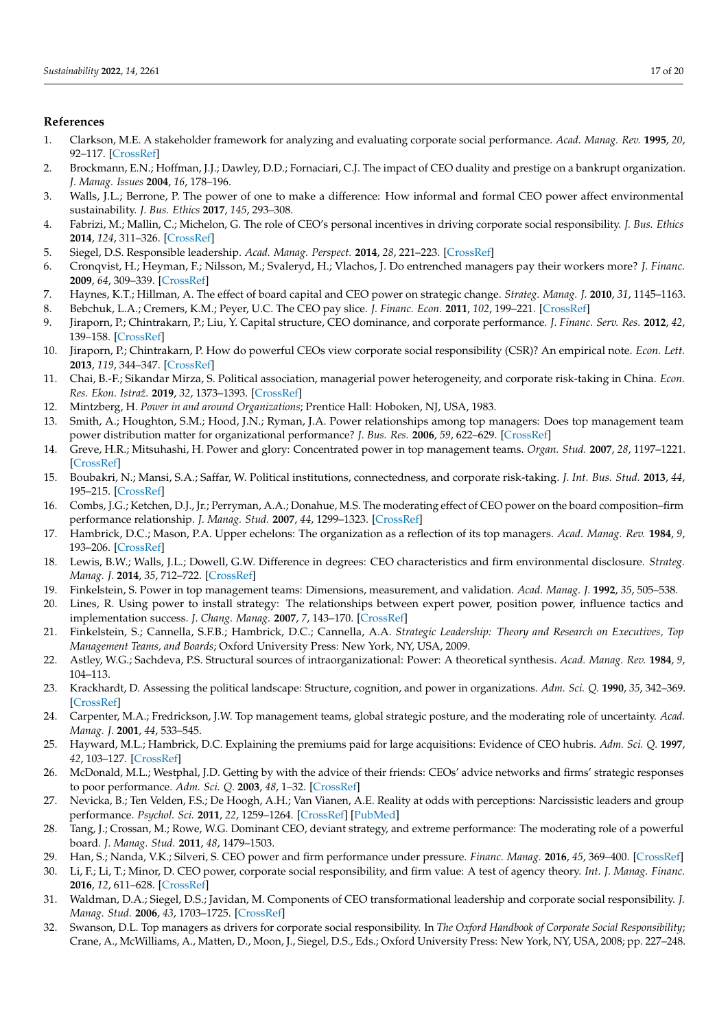# **References**

- <span id="page-16-0"></span>1. Clarkson, M.E. A stakeholder framework for analyzing and evaluating corporate social performance. *Acad. Manag. Rev.* **1995**, *20*, 92–117. [\[CrossRef\]](http://doi.org/10.2307/258888)
- <span id="page-16-1"></span>2. Brockmann, E.N.; Hoffman, J.J.; Dawley, D.D.; Fornaciari, C.J. The impact of CEO duality and prestige on a bankrupt organization. *J. Manag. Issues* **2004**, *16*, 178–196.
- <span id="page-16-2"></span>3. Walls, J.L.; Berrone, P. The power of one to make a difference: How informal and formal CEO power affect environmental sustainability. *J. Bus. Ethics* **2017**, *145*, 293–308.
- <span id="page-16-3"></span>4. Fabrizi, M.; Mallin, C.; Michelon, G. The role of CEO's personal incentives in driving corporate social responsibility. *J. Bus. Ethics* **2014**, *124*, 311–326. [\[CrossRef\]](http://doi.org/10.1007/s10551-013-1864-2)
- <span id="page-16-4"></span>5. Siegel, D.S. Responsible leadership. *Acad. Manag. Perspect.* **2014**, *28*, 221–223. [\[CrossRef\]](http://doi.org/10.5465/amp.2014.0081)
- <span id="page-16-5"></span>6. Cronqvist, H.; Heyman, F.; Nilsson, M.; Svaleryd, H.; Vlachos, J. Do entrenched managers pay their workers more? *J. Financ.* **2009**, *64*, 309–339. [\[CrossRef\]](http://doi.org/10.1111/j.1540-6261.2008.01435.x)
- <span id="page-16-7"></span><span id="page-16-6"></span>7. Haynes, K.T.; Hillman, A. The effect of board capital and CEO power on strategic change. *Strateg. Manag. J.* **2010**, *31*, 1145–1163. 8. Bebchuk, L.A.; Cremers, K.M.; Peyer, U.C. The CEO pay slice. *J. Financ. Econ.* **2011**, *102*, 199–221. [\[CrossRef\]](http://doi.org/10.1016/j.jfineco.2011.05.006)
- <span id="page-16-8"></span>9. Jiraporn, P.; Chintrakarn, P.; Liu, Y. Capital structure, CEO dominance, and corporate performance. *J. Financ. Serv. Res.* **2012**, *42*, 139–158. [\[CrossRef\]](http://doi.org/10.1007/s10693-011-0109-8)
- <span id="page-16-9"></span>10. Jiraporn, P.; Chintrakarn, P. How do powerful CEOs view corporate social responsibility (CSR)? An empirical note. *Econ. Lett.* **2013**, *119*, 344–347. [\[CrossRef\]](http://doi.org/10.1016/j.econlet.2013.03.026)
- <span id="page-16-10"></span>11. Chai, B.-F.; Sikandar Mirza, S. Political association, managerial power heterogeneity, and corporate risk-taking in China. *Econ. Res. Ekon. Istraž.* **2019**, *32*, 1373–1393. [\[CrossRef\]](http://doi.org/10.1080/1331677X.2019.1634613)
- <span id="page-16-11"></span>12. Mintzberg, H. *Power in and around Organizations*; Prentice Hall: Hoboken, NJ, USA, 1983.
- <span id="page-16-12"></span>13. Smith, A.; Houghton, S.M.; Hood, J.N.; Ryman, J.A. Power relationships among top managers: Does top management team power distribution matter for organizational performance? *J. Bus. Res.* **2006**, *59*, 622–629. [\[CrossRef\]](http://doi.org/10.1016/j.jbusres.2005.10.012)
- <span id="page-16-13"></span>14. Greve, H.R.; Mitsuhashi, H. Power and glory: Concentrated power in top management teams. *Organ. Stud.* **2007**, *28*, 1197–1221. [\[CrossRef\]](http://doi.org/10.1177/0170840607075674)
- <span id="page-16-14"></span>15. Boubakri, N.; Mansi, S.A.; Saffar, W. Political institutions, connectedness, and corporate risk-taking. *J. Int. Bus. Stud.* **2013**, *44*, 195–215. [\[CrossRef\]](http://doi.org/10.1057/jibs.2013.2)
- <span id="page-16-15"></span>16. Combs, J.G.; Ketchen, D.J., Jr.; Perryman, A.A.; Donahue, M.S. The moderating effect of CEO power on the board composition–firm performance relationship. *J. Manag. Stud.* **2007**, *44*, 1299–1323. [\[CrossRef\]](http://doi.org/10.1111/j.1467-6486.2007.00708.x)
- <span id="page-16-16"></span>17. Hambrick, D.C.; Mason, P.A. Upper echelons: The organization as a reflection of its top managers. *Acad. Manag. Rev.* **1984**, *9*, 193–206. [\[CrossRef\]](http://doi.org/10.2307/258434)
- <span id="page-16-17"></span>18. Lewis, B.W.; Walls, J.L.; Dowell, G.W. Difference in degrees: CEO characteristics and firm environmental disclosure. *Strateg. Manag. J.* **2014**, *35*, 712–722. [\[CrossRef\]](http://doi.org/10.1002/smj.2127)
- <span id="page-16-18"></span>19. Finkelstein, S. Power in top management teams: Dimensions, measurement, and validation. *Acad. Manag. J.* **1992**, *35*, 505–538.
- <span id="page-16-19"></span>20. Lines, R. Using power to install strategy: The relationships between expert power, position power, influence tactics and implementation success. *J. Chang. Manag.* **2007**, *7*, 143–170. [\[CrossRef\]](http://doi.org/10.1080/14697010701531657)
- <span id="page-16-20"></span>21. Finkelstein, S.; Cannella, S.F.B.; Hambrick, D.C.; Cannella, A.A. *Strategic Leadership: Theory and Research on Executives, Top Management Teams, and Boards*; Oxford University Press: New York, NY, USA, 2009.
- <span id="page-16-21"></span>22. Astley, W.G.; Sachdeva, P.S. Structural sources of intraorganizational: Power: A theoretical synthesis. *Acad. Manag. Rev.* **1984**, *9*, 104–113.
- <span id="page-16-22"></span>23. Krackhardt, D. Assessing the political landscape: Structure, cognition, and power in organizations. *Adm. Sci. Q.* **1990**, *35*, 342–369. [\[CrossRef\]](http://doi.org/10.2307/2393394)
- <span id="page-16-23"></span>24. Carpenter, M.A.; Fredrickson, J.W. Top management teams, global strategic posture, and the moderating role of uncertainty. *Acad. Manag. J.* **2001**, *44*, 533–545.
- <span id="page-16-24"></span>25. Hayward, M.L.; Hambrick, D.C. Explaining the premiums paid for large acquisitions: Evidence of CEO hubris. *Adm. Sci. Q.* **1997**, *42*, 103–127. [\[CrossRef\]](http://doi.org/10.2307/2393810)
- <span id="page-16-25"></span>26. McDonald, M.L.; Westphal, J.D. Getting by with the advice of their friends: CEOs' advice networks and firms' strategic responses to poor performance. *Adm. Sci. Q.* **2003**, *48*, 1–32. [\[CrossRef\]](http://doi.org/10.2307/3556617)
- <span id="page-16-26"></span>27. Nevicka, B.; Ten Velden, F.S.; De Hoogh, A.H.; Van Vianen, A.E. Reality at odds with perceptions: Narcissistic leaders and group performance. *Psychol. Sci.* **2011**, *22*, 1259–1264. [\[CrossRef\]](http://doi.org/10.1177/0956797611417259) [\[PubMed\]](http://www.ncbi.nlm.nih.gov/pubmed/21931153)
- <span id="page-16-27"></span>28. Tang, J.; Crossan, M.; Rowe, W.G. Dominant CEO, deviant strategy, and extreme performance: The moderating role of a powerful board. *J. Manag. Stud.* **2011**, *48*, 1479–1503.
- <span id="page-16-28"></span>29. Han, S.; Nanda, V.K.; Silveri, S. CEO power and firm performance under pressure. *Financ. Manag.* **2016**, *45*, 369–400. [\[CrossRef\]](http://doi.org/10.1111/fima.12127)
- <span id="page-16-29"></span>30. Li, F.; Li, T.; Minor, D. CEO power, corporate social responsibility, and firm value: A test of agency theory. *Int. J. Manag. Financ.* **2016**, *12*, 611–628. [\[CrossRef\]](http://doi.org/10.1108/IJMF-05-2015-0116)
- <span id="page-16-30"></span>31. Waldman, D.A.; Siegel, D.S.; Javidan, M. Components of CEO transformational leadership and corporate social responsibility. *J. Manag. Stud.* **2006**, *43*, 1703–1725. [\[CrossRef\]](http://doi.org/10.1111/j.1467-6486.2006.00642.x)
- 32. Swanson, D.L. Top managers as drivers for corporate social responsibility. In *The Oxford Handbook of Corporate Social Responsibility*; Crane, A., McWilliams, A., Matten, D., Moon, J., Siegel, D.S., Eds.; Oxford University Press: New York, NY, USA, 2008; pp. 227–248.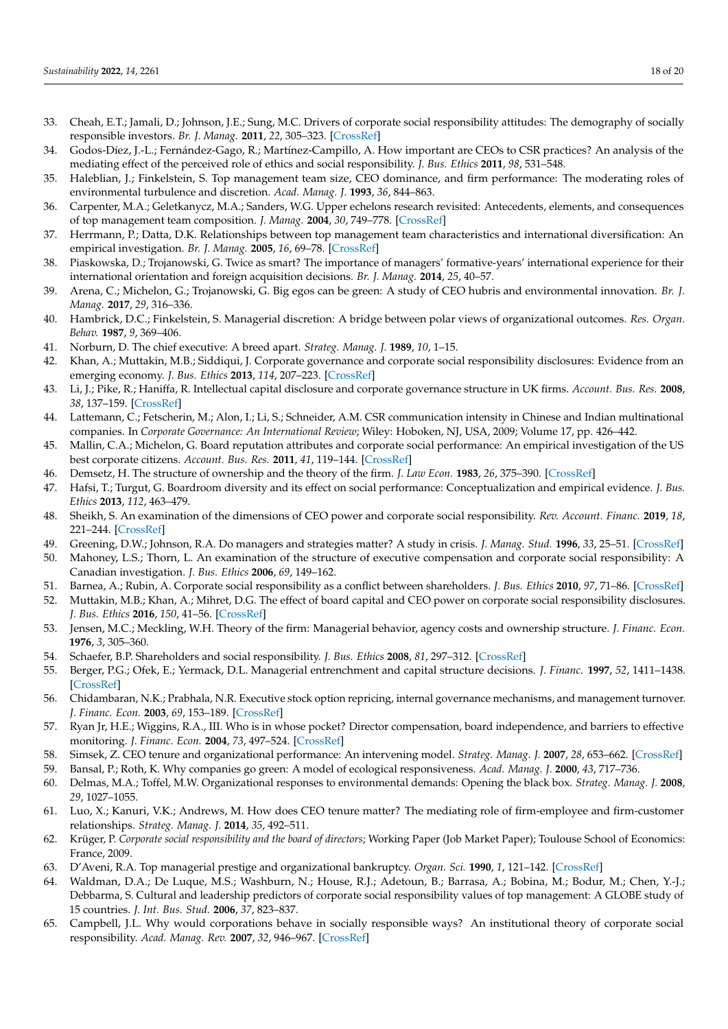- 33. Cheah, E.T.; Jamali, D.; Johnson, J.E.; Sung, M.C. Drivers of corporate social responsibility attitudes: The demography of socially responsible investors. *Br. J. Manag.* **2011**, *22*, 305–323. [\[CrossRef\]](http://doi.org/10.1111/j.1467-8551.2011.00744.x)
- <span id="page-17-0"></span>34. Godos-Díez, J.-L.; Fernández-Gago, R.; Martínez-Campillo, A. How important are CEOs to CSR practices? An analysis of the mediating effect of the perceived role of ethics and social responsibility. *J. Bus. Ethics* **2011**, *98*, 531–548.
- <span id="page-17-1"></span>35. Haleblian, J.; Finkelstein, S. Top management team size, CEO dominance, and firm performance: The moderating roles of environmental turbulence and discretion. *Acad. Manag. J.* **1993**, *36*, 844–863.
- <span id="page-17-2"></span>36. Carpenter, M.A.; Geletkanycz, M.A.; Sanders, W.G. Upper echelons research revisited: Antecedents, elements, and consequences of top management team composition. *J. Manag.* **2004**, *30*, 749–778. [\[CrossRef\]](http://doi.org/10.1016/j.jm.2004.06.001)
- <span id="page-17-3"></span>37. Herrmann, P.; Datta, D.K. Relationships between top management team characteristics and international diversification: An empirical investigation. *Br. J. Manag.* **2005**, *16*, 69–78. [\[CrossRef\]](http://doi.org/10.1111/j.1467-8551.2005.00429.x)
- 38. Piaskowska, D.; Trojanowski, G. Twice as smart? The importance of managers' formative-years' international experience for their international orientation and foreign acquisition decisions. *Br. J. Manag.* **2014**, *25*, 40–57.
- <span id="page-17-4"></span>39. Arena, C.; Michelon, G.; Trojanowski, G. Big egos can be green: A study of CEO hubris and environmental innovation. *Br. J. Manag.* **2017**, *29*, 316–336.
- <span id="page-17-5"></span>40. Hambrick, D.C.; Finkelstein, S. Managerial discretion: A bridge between polar views of organizational outcomes. *Res. Organ. Behav.* **1987**, *9*, 369–406.
- <span id="page-17-6"></span>41. Norburn, D. The chief executive: A breed apart. *Strateg. Manag. J.* **1989**, *10*, 1–15.
- <span id="page-17-7"></span>42. Khan, A.; Muttakin, M.B.; Siddiqui, J. Corporate governance and corporate social responsibility disclosures: Evidence from an emerging economy. *J. Bus. Ethics* **2013**, *114*, 207–223. [\[CrossRef\]](http://doi.org/10.1007/s10551-012-1336-0)
- <span id="page-17-8"></span>43. Li, J.; Pike, R.; Haniffa, R. Intellectual capital disclosure and corporate governance structure in UK firms. *Account. Bus. Res.* **2008**, *38*, 137–159. [\[CrossRef\]](http://doi.org/10.1080/00014788.2008.9663326)
- <span id="page-17-9"></span>44. Lattemann, C.; Fetscherin, M.; Alon, I.; Li, S.; Schneider, A.M. CSR communication intensity in Chinese and Indian multinational companies. In *Corporate Governance: An International Review*; Wiley: Hoboken, NJ, USA, 2009; Volume 17, pp. 426–442.
- <span id="page-17-10"></span>45. Mallin, C.A.; Michelon, G. Board reputation attributes and corporate social performance: An empirical investigation of the US best corporate citizens. *Account. Bus. Res.* **2011**, *41*, 119–144. [\[CrossRef\]](http://doi.org/10.1080/00014788.2011.550740)
- <span id="page-17-11"></span>46. Demsetz, H. The structure of ownership and the theory of the firm. *J. Law Econ.* **1983**, *26*, 375–390. [\[CrossRef\]](http://doi.org/10.1086/467041)
- <span id="page-17-12"></span>47. Hafsi, T.; Turgut, G. Boardroom diversity and its effect on social performance: Conceptualization and empirical evidence. *J. Bus. Ethics* **2013**, *112*, 463–479.
- <span id="page-17-13"></span>48. Sheikh, S. An examination of the dimensions of CEO power and corporate social responsibility. *Rev. Account. Financ.* **2019**, *18*, 221–244. [\[CrossRef\]](http://doi.org/10.1108/RAF-01-2018-0034)
- <span id="page-17-14"></span>49. Greening, D.W.; Johnson, R.A. Do managers and strategies matter? A study in crisis. *J. Manag. Stud.* **1996**, *33*, 25–51. [\[CrossRef\]](http://doi.org/10.1111/j.1467-6486.1996.tb00797.x)
- <span id="page-17-15"></span>50. Mahoney, L.S.; Thorn, L. An examination of the structure of executive compensation and corporate social responsibility: A Canadian investigation. *J. Bus. Ethics* **2006**, *69*, 149–162.
- <span id="page-17-16"></span>51. Barnea, A.; Rubin, A. Corporate social responsibility as a conflict between shareholders. *J. Bus. Ethics* **2010**, *97*, 71–86. [\[CrossRef\]](http://doi.org/10.1007/s10551-010-0496-z)
- <span id="page-17-17"></span>52. Muttakin, M.B.; Khan, A.; Mihret, D.G. The effect of board capital and CEO power on corporate social responsibility disclosures. *J. Bus. Ethics* **2016**, *150*, 41–56. [\[CrossRef\]](http://doi.org/10.1007/s10551-016-3105-y)
- <span id="page-17-18"></span>53. Jensen, M.C.; Meckling, W.H. Theory of the firm: Managerial behavior, agency costs and ownership structure. *J. Financ. Econ.* **1976**, *3*, 305–360.
- <span id="page-17-19"></span>54. Schaefer, B.P. Shareholders and social responsibility. *J. Bus. Ethics* **2008**, *81*, 297–312. [\[CrossRef\]](http://doi.org/10.1007/s10551-007-9495-0)
- <span id="page-17-20"></span>55. Berger, P.G.; Ofek, E.; Yermack, D.L. Managerial entrenchment and capital structure decisions. *J. Financ.* **1997**, *52*, 1411–1438. [\[CrossRef\]](http://doi.org/10.1111/j.1540-6261.1997.tb01115.x)
- 56. Chidambaran, N.K.; Prabhala, N.R. Executive stock option repricing, internal governance mechanisms, and management turnover. *J. Financ. Econ.* **2003**, *69*, 153–189. [\[CrossRef\]](http://doi.org/10.1016/S0304-405X(03)00111-9)
- <span id="page-17-21"></span>57. Ryan Jr, H.E.; Wiggins, R.A., III. Who is in whose pocket? Director compensation, board independence, and barriers to effective monitoring. *J. Financ. Econ.* **2004**, *73*, 497–524. [\[CrossRef\]](http://doi.org/10.1016/j.jfineco.2003.11.002)
- <span id="page-17-22"></span>58. Simsek, Z. CEO tenure and organizational performance: An intervening model. *Strateg. Manag. J.* **2007**, *28*, 653–662. [\[CrossRef\]](http://doi.org/10.1002/smj.599)
- <span id="page-17-23"></span>59. Bansal, P.; Roth, K. Why companies go green: A model of ecological responsiveness. *Acad. Manag. J.* **2000**, *43*, 717–736.
- <span id="page-17-24"></span>60. Delmas, M.A.; Toffel, M.W. Organizational responses to environmental demands: Opening the black box. *Strateg. Manag. J.* **2008**, *29*, 1027–1055.
- <span id="page-17-25"></span>61. Luo, X.; Kanuri, V.K.; Andrews, M. How does CEO tenure matter? The mediating role of firm-employee and firm-customer relationships. *Strateg. Manag. J.* **2014**, *35*, 492–511.
- <span id="page-17-26"></span>62. Krüger, P. *Corporate social responsibility and the board of directors*; Working Paper (Job Market Paper); Toulouse School of Economics: France, 2009.
- <span id="page-17-27"></span>63. D'Aveni, R.A. Top managerial prestige and organizational bankruptcy. *Organ. Sci.* **1990**, *1*, 121–142. [\[CrossRef\]](http://doi.org/10.1287/orsc.1.2.121)
- <span id="page-17-28"></span>64. Waldman, D.A.; De Luque, M.S.; Washburn, N.; House, R.J.; Adetoun, B.; Barrasa, A.; Bobina, M.; Bodur, M.; Chen, Y.-J.; Debbarma, S. Cultural and leadership predictors of corporate social responsibility values of top management: A GLOBE study of 15 countries. *J. Int. Bus. Stud.* **2006**, *37*, 823–837.
- <span id="page-17-29"></span>65. Campbell, J.L. Why would corporations behave in socially responsible ways? An institutional theory of corporate social responsibility. *Acad. Manag. Rev.* **2007**, *32*, 946–967. [\[CrossRef\]](http://doi.org/10.5465/amr.2007.25275684)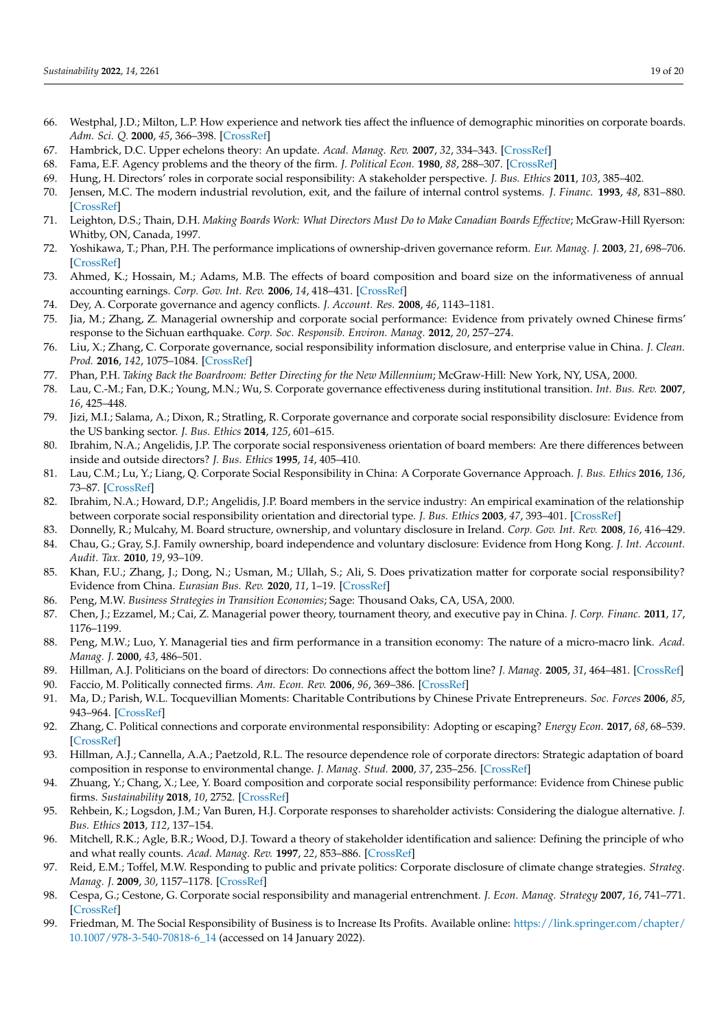- <span id="page-18-0"></span>66. Westphal, J.D.; Milton, L.P. How experience and network ties affect the influence of demographic minorities on corporate boards. *Adm. Sci. Q.* **2000**, *45*, 366–398. [\[CrossRef\]](http://doi.org/10.2307/2667075)
- <span id="page-18-1"></span>67. Hambrick, D.C. Upper echelons theory: An update. *Acad. Manag. Rev.* **2007**, *32*, 334–343. [\[CrossRef\]](http://doi.org/10.5465/amr.2007.24345254)
- <span id="page-18-2"></span>68. Fama, E.F. Agency problems and the theory of the firm. *J. Political Econ.* **1980**, *88*, 288–307. [\[CrossRef\]](http://doi.org/10.1086/260866)
- <span id="page-18-3"></span>69. Hung, H. Directors' roles in corporate social responsibility: A stakeholder perspective. *J. Bus. Ethics* **2011**, *103*, 385–402.
- <span id="page-18-4"></span>70. Jensen, M.C. The modern industrial revolution, exit, and the failure of internal control systems. *J. Financ.* **1993**, *48*, 831–880. [\[CrossRef\]](http://doi.org/10.1111/j.1540-6261.1993.tb04022.x)
- <span id="page-18-5"></span>71. Leighton, D.S.; Thain, D.H. *Making Boards Work: What Directors Must Do to Make Canadian Boards Effective*; McGraw-Hill Ryerson: Whitby, ON, Canada, 1997.
- <span id="page-18-6"></span>72. Yoshikawa, T.; Phan, P.H. The performance implications of ownership-driven governance reform. *Eur. Manag. J.* **2003**, *21*, 698–706. [\[CrossRef\]](http://doi.org/10.1016/j.emj.2003.09.013)
- <span id="page-18-7"></span>73. Ahmed, K.; Hossain, M.; Adams, M.B. The effects of board composition and board size on the informativeness of annual accounting earnings. *Corp. Gov. Int. Rev.* **2006**, *14*, 418–431. [\[CrossRef\]](http://doi.org/10.1111/j.1467-8683.2006.00515.x)
- <span id="page-18-8"></span>74. Dey, A. Corporate governance and agency conflicts. *J. Account. Res.* **2008**, *46*, 1143–1181.
- <span id="page-18-9"></span>75. Jia, M.; Zhang, Z. Managerial ownership and corporate social performance: Evidence from privately owned Chinese firms' response to the Sichuan earthquake. *Corp. Soc. Responsib. Environ. Manag.* **2012**, *20*, 257–274.
- <span id="page-18-10"></span>76. Liu, X.; Zhang, C. Corporate governance, social responsibility information disclosure, and enterprise value in China. *J. Clean. Prod.* **2016**, *142*, 1075–1084. [\[CrossRef\]](http://doi.org/10.1016/j.jclepro.2016.09.102)
- <span id="page-18-11"></span>77. Phan, P.H. *Taking Back the Boardroom: Better Directing for the New Millennium*; McGraw-Hill: New York, NY, USA, 2000.
- <span id="page-18-12"></span>78. Lau, C.-M.; Fan, D.K.; Young, M.N.; Wu, S. Corporate governance effectiveness during institutional transition. *Int. Bus. Rev.* **2007**, *16*, 425–448.
- <span id="page-18-13"></span>79. Jizi, M.I.; Salama, A.; Dixon, R.; Stratling, R. Corporate governance and corporate social responsibility disclosure: Evidence from the US banking sector. *J. Bus. Ethics* **2014**, *125*, 601–615.
- <span id="page-18-14"></span>80. Ibrahim, N.A.; Angelidis, J.P. The corporate social responsiveness orientation of board members: Are there differences between inside and outside directors? *J. Bus. Ethics* **1995**, *14*, 405–410.
- <span id="page-18-15"></span>81. Lau, C.M.; Lu, Y.; Liang, Q. Corporate Social Responsibility in China: A Corporate Governance Approach. *J. Bus. Ethics* **2016**, *136*, 73–87. [\[CrossRef\]](http://doi.org/10.1007/s10551-014-2513-0)
- <span id="page-18-16"></span>82. Ibrahim, N.A.; Howard, D.P.; Angelidis, J.P. Board members in the service industry: An empirical examination of the relationship between corporate social responsibility orientation and directorial type. *J. Bus. Ethics* **2003**, *47*, 393–401. [\[CrossRef\]](http://doi.org/10.1023/A:1027334524775)
- <span id="page-18-18"></span><span id="page-18-17"></span>83. Donnelly, R.; Mulcahy, M. Board structure, ownership, and voluntary disclosure in Ireland. *Corp. Gov. Int. Rev.* **2008**, *16*, 416–429. 84. Chau, G.; Gray, S.J. Family ownership, board independence and voluntary disclosure: Evidence from Hong Kong. *J. Int. Account.*
- <span id="page-18-19"></span>*Audit. Tax.* **2010**, *19*, 93–109. 85. Khan, F.U.; Zhang, J.; Dong, N.; Usman, M.; Ullah, S.; Ali, S. Does privatization matter for corporate social responsibility?
- <span id="page-18-20"></span>Evidence from China. *Eurasian Bus. Rev.* **2020**, *11*, 1–19. [\[CrossRef\]](http://doi.org/10.1007/s40821-020-00154-w) 86. Peng, M.W. *Business Strategies in Transition Economies*; Sage: Thousand Oaks, CA, USA, 2000.
- <span id="page-18-21"></span>87. Chen, J.; Ezzamel, M.; Cai, Z. Managerial power theory, tournament theory, and executive pay in China. *J. Corp. Financ.* **2011**, *17*, 1176–1199.
- <span id="page-18-22"></span>88. Peng, M.W.; Luo, Y. Managerial ties and firm performance in a transition economy: The nature of a micro-macro link. *Acad. Manag. J.* **2000**, *43*, 486–501.
- <span id="page-18-23"></span>89. Hillman, A.J. Politicians on the board of directors: Do connections affect the bottom line? *J. Manag.* **2005**, *31*, 464–481. [\[CrossRef\]](http://doi.org/10.1177/0149206304272187)
- 90. Faccio, M. Politically connected firms. *Am. Econ. Rev.* **2006**, *96*, 369–386. [\[CrossRef\]](http://doi.org/10.1257/000282806776157704)
- <span id="page-18-24"></span>91. Ma, D.; Parish, W.L. Tocquevillian Moments: Charitable Contributions by Chinese Private Entrepreneurs. *Soc. Forces* **2006**, *85*, 943–964. [\[CrossRef\]](http://doi.org/10.1353/sof.2007.0016)
- <span id="page-18-25"></span>92. Zhang, C. Political connections and corporate environmental responsibility: Adopting or escaping? *Energy Econ.* **2017**, *68*, 68–539. [\[CrossRef\]](http://doi.org/10.1016/j.eneco.2017.10.036)
- <span id="page-18-26"></span>93. Hillman, A.J.; Cannella, A.A.; Paetzold, R.L. The resource dependence role of corporate directors: Strategic adaptation of board composition in response to environmental change. *J. Manag. Stud.* **2000**, *37*, 235–256. [\[CrossRef\]](http://doi.org/10.1111/1467-6486.00179)
- <span id="page-18-27"></span>94. Zhuang, Y.; Chang, X.; Lee, Y. Board composition and corporate social responsibility performance: Evidence from Chinese public firms. *Sustainability* **2018**, *10*, 2752. [\[CrossRef\]](http://doi.org/10.3390/su10082752)
- <span id="page-18-28"></span>95. Rehbein, K.; Logsdon, J.M.; Van Buren, H.J. Corporate responses to shareholder activists: Considering the dialogue alternative. *J. Bus. Ethics* **2013**, *112*, 137–154.
- <span id="page-18-29"></span>96. Mitchell, R.K.; Agle, B.R.; Wood, D.J. Toward a theory of stakeholder identification and salience: Defining the principle of who and what really counts. *Acad. Manag. Rev.* **1997**, *22*, 853–886. [\[CrossRef\]](http://doi.org/10.2307/259247)
- <span id="page-18-30"></span>97. Reid, E.M.; Toffel, M.W. Responding to public and private politics: Corporate disclosure of climate change strategies. *Strateg. Manag. J.* **2009**, *30*, 1157–1178. [\[CrossRef\]](http://doi.org/10.1002/smj.796)
- <span id="page-18-31"></span>98. Cespa, G.; Cestone, G. Corporate social responsibility and managerial entrenchment. *J. Econ. Manag. Strategy* **2007**, *16*, 741–771. [\[CrossRef\]](http://doi.org/10.1111/j.1530-9134.2007.00156.x)
- <span id="page-18-32"></span>99. Friedman, M. The Social Responsibility of Business is to Increase Its Profits. Available online: [https://link.springer.com/chapter/](https://link.springer.com/chapter/10.1007/978-3-540-70818-6_14) [10.1007/978-3-540-70818-6\\_14](https://link.springer.com/chapter/10.1007/978-3-540-70818-6_14) (accessed on 14 January 2022).